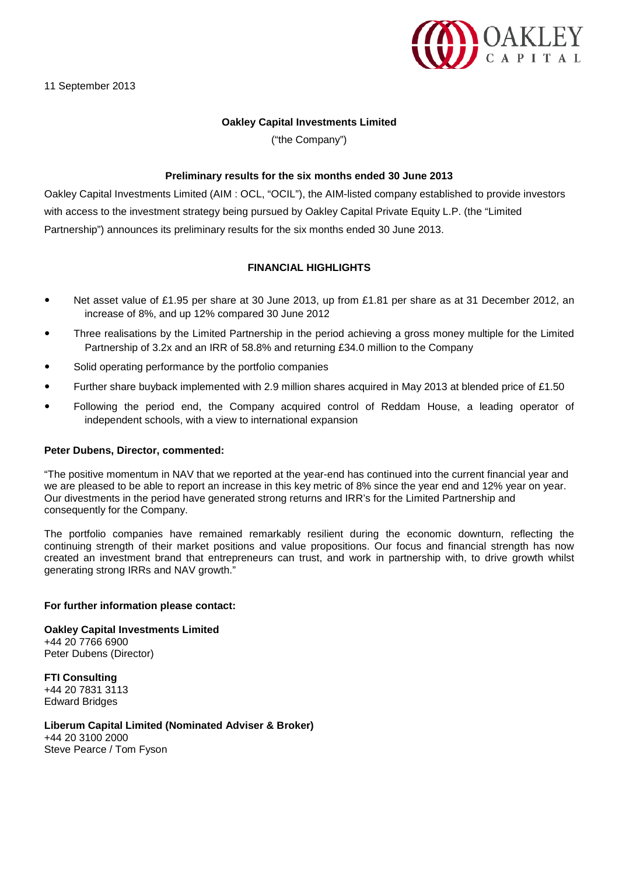

# **Oakley Capital Investments Limited**

("the Company")

### **Preliminary results for the six months ended 30 June 2013**

Oakley Capital Investments Limited (AIM : OCL, "OCIL"), the AIM-listed company established to provide investors with access to the investment strategy being pursued by Oakley Capital Private Equity L.P. (the "Limited Partnership") announces its preliminary results for the six months ended 30 June 2013.

# **FINANCIAL HIGHLIGHTS**

- Net asset value of £1.95 per share at 30 June 2013, up from £1.81 per share as at 31 December 2012, an increase of 8%, and up 12% compared 30 June 2012
- Three realisations by the Limited Partnership in the period achieving a gross money multiple for the Limited Partnership of 3.2x and an IRR of 58.8% and returning £34.0 million to the Company
- Solid operating performance by the portfolio companies
- Further share buyback implemented with 2.9 million shares acquired in May 2013 at blended price of £1.50
- Following the period end, the Company acquired control of Reddam House, a leading operator of independent schools, with a view to international expansion

#### **Peter Dubens, Director, commented:**

"The positive momentum in NAV that we reported at the year-end has continued into the current financial year and we are pleased to be able to report an increase in this key metric of 8% since the year end and 12% year on year. Our divestments in the period have generated strong returns and IRR's for the Limited Partnership and consequently for the Company.

The portfolio companies have remained remarkably resilient during the economic downturn, reflecting the continuing strength of their market positions and value propositions. Our focus and financial strength has now created an investment brand that entrepreneurs can trust, and work in partnership with, to drive growth whilst generating strong IRRs and NAV growth."

#### **For further information please contact:**

**Oakley Capital Investments Limited** +44 20 7766 6900 Peter Dubens (Director)

**FTI Consulting** +44 20 7831 3113 Edward Bridges

**Liberum Capital Limited (Nominated Adviser & Broker)** +44 20 3100 2000 Steve Pearce / Tom Fyson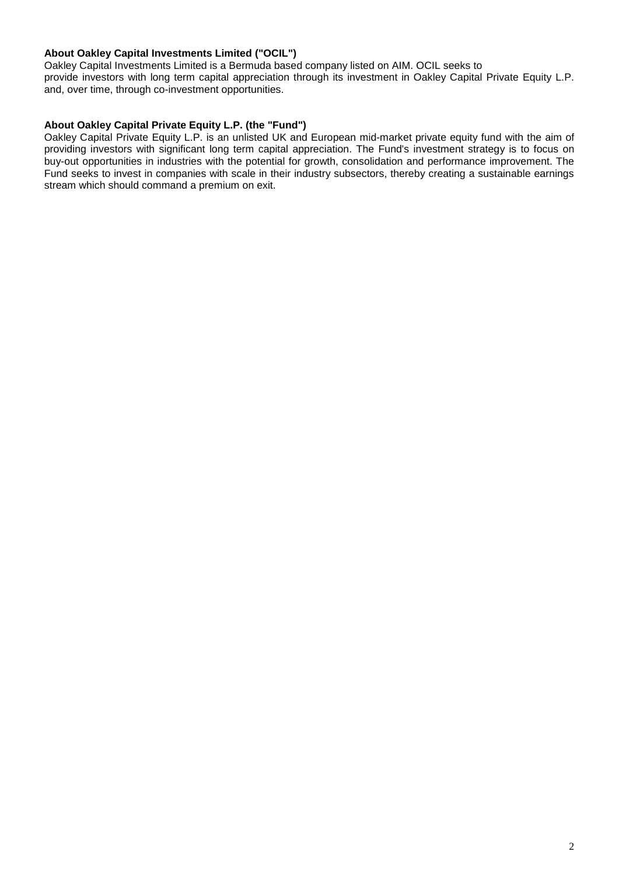# **About Oakley Capital Investments Limited ("OCIL")**

Oakley Capital Investments Limited is a Bermuda based company listed on AIM. OCIL seeks to provide investors with long term capital appreciation through its investment in Oakley Capital Private Equity L.P. and, over time, through co-investment opportunities.

# **About Oakley Capital Private Equity L.P. (the "Fund")**

Oakley Capital Private Equity L.P. is an unlisted UK and European mid-market private equity fund with the aim of providing investors with significant long term capital appreciation. The Fund's investment strategy is to focus on buy-out opportunities in industries with the potential for growth, consolidation and performance improvement. The Fund seeks to invest in companies with scale in their industry subsectors, thereby creating a sustainable earnings stream which should command a premium on exit.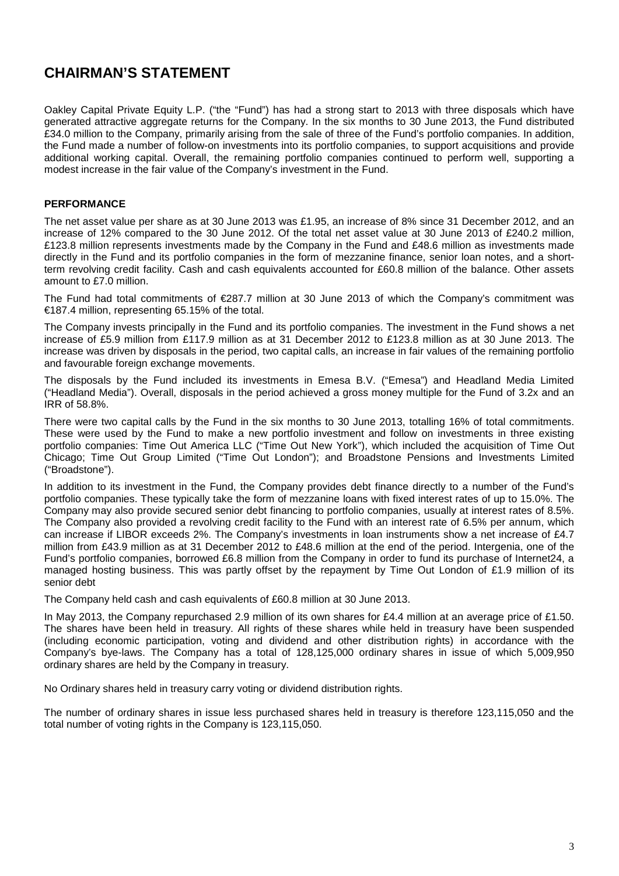# **CHAIRMAN'S STATEMENT**

Oakley Capital Private Equity L.P. ("the "Fund") has had a strong start to 2013 with three disposals which have generated attractive aggregate returns for the Company. In the six months to 30 June 2013, the Fund distributed £34.0 million to the Company, primarily arising from the sale of three of the Fund's portfolio companies. In addition, the Fund made a number of follow-on investments into its portfolio companies, to support acquisitions and provide additional working capital. Overall, the remaining portfolio companies continued to perform well, supporting a modest increase in the fair value of the Company's investment in the Fund.

# **PERFORMANCE**

The net asset value per share as at 30 June 2013 was £1.95, an increase of 8% since 31 December 2012, and an increase of 12% compared to the 30 June 2012. Of the total net asset value at 30 June 2013 of £240.2 million, £123.8 million represents investments made by the Company in the Fund and £48.6 million as investments made directly in the Fund and its portfolio companies in the form of mezzanine finance, senior loan notes, and a shortterm revolving credit facility. Cash and cash equivalents accounted for £60.8 million of the balance. Other assets amount to £7.0 million.

The Fund had total commitments of €287.7 million at 30 June 2013 of which the Company's commitment was €187.4 million, representing 65.15% of the total.

The Company invests principally in the Fund and its portfolio companies. The investment in the Fund shows a net increase of £5.9 million from £117.9 million as at 31 December 2012 to £123.8 million as at 30 June 2013. The increase was driven by disposals in the period, two capital calls, an increase in fair values of the remaining portfolio and favourable foreign exchange movements.

The disposals by the Fund included its investments in Emesa B.V. ("Emesa") and Headland Media Limited ("Headland Media"). Overall, disposals in the period achieved a gross money multiple for the Fund of 3.2x and an IRR of 58.8%.

There were two capital calls by the Fund in the six months to 30 June 2013, totalling 16% of total commitments. These were used by the Fund to make a new portfolio investment and follow on investments in three existing portfolio companies: Time Out America LLC ("Time Out New York"), which included the acquisition of Time Out Chicago; Time Out Group Limited ("Time Out London"); and Broadstone Pensions and Investments Limited ("Broadstone").

In addition to its investment in the Fund, the Company provides debt finance directly to a number of the Fund's portfolio companies. These typically take the form of mezzanine loans with fixed interest rates of up to 15.0%. The Company may also provide secured senior debt financing to portfolio companies, usually at interest rates of 8.5%. The Company also provided a revolving credit facility to the Fund with an interest rate of 6.5% per annum, which can increase if LIBOR exceeds 2%. The Company's investments in loan instruments show a net increase of £4.7 million from £43.9 million as at 31 December 2012 to £48.6 million at the end of the period. Intergenia, one of the Fund's portfolio companies, borrowed £6.8 million from the Company in order to fund its purchase of Internet24, a managed hosting business. This was partly offset by the repayment by Time Out London of £1.9 million of its senior debt

The Company held cash and cash equivalents of £60.8 million at 30 June 2013.

In May 2013, the Company repurchased 2.9 million of its own shares for £4.4 million at an average price of £1.50. The shares have been held in treasury. All rights of these shares while held in treasury have been suspended (including economic participation, voting and dividend and other distribution rights) in accordance with the Company's bye-laws. The Company has a total of 128,125,000 ordinary shares in issue of which 5,009,950 ordinary shares are held by the Company in treasury.

No Ordinary shares held in treasury carry voting or [dividend](http://www.investegate.co.uk/oakley-capital-inv---ocl-/rns/purchase-of-shares/201305160700067939E/) distribution rights.

The number of ordinary shares in issue less purchased shares held in treasury is therefore 123,115,050 and the total number of voting rights in the Company is 123,115,050.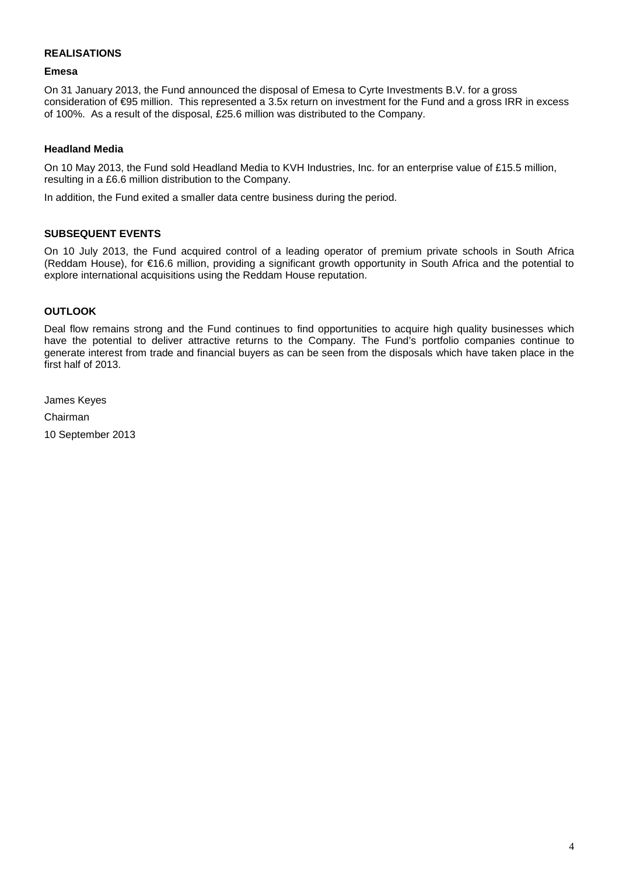# **REALISATIONS**

### **Emesa**

On 31 January 2013, the Fund announced the disposal of Emesa to Cyrte Investments B.V. for a gross consideration of €95 million. This represented a 3.5x return on investment for the Fund and a gross IRR in excess of 100%. As a result of the disposal, £25.6 million was distributed to the Company.

# **Headland Media**

On 10 May 2013, the Fund sold Headland Media to KVH Industries, Inc. for an enterprise value of £15.5 million, resulting in a £6.6 million distribution to the Company.

In addition, the Fund exited a smaller data centre business during the period.

# **SUBSEQUENT EVENTS**

On 10 July 2013, the Fund acquired control of a leading operator of premium private schools in South Africa (Reddam House), for €16.6 million, providing a significant growth opportunity in South Africa and the potential to explore international acquisitions using the Reddam House reputation.

# **OUTLOOK**

Deal flow remains strong and the Fund continues to find opportunities to acquire high quality businesses which have the potential to deliver attractive returns to the Company. The Fund's portfolio companies continue to generate interest from trade and financial buyers as can be seen from the disposals which have taken place in the first half of 2013.

James Keyes Chairman 10 September 2013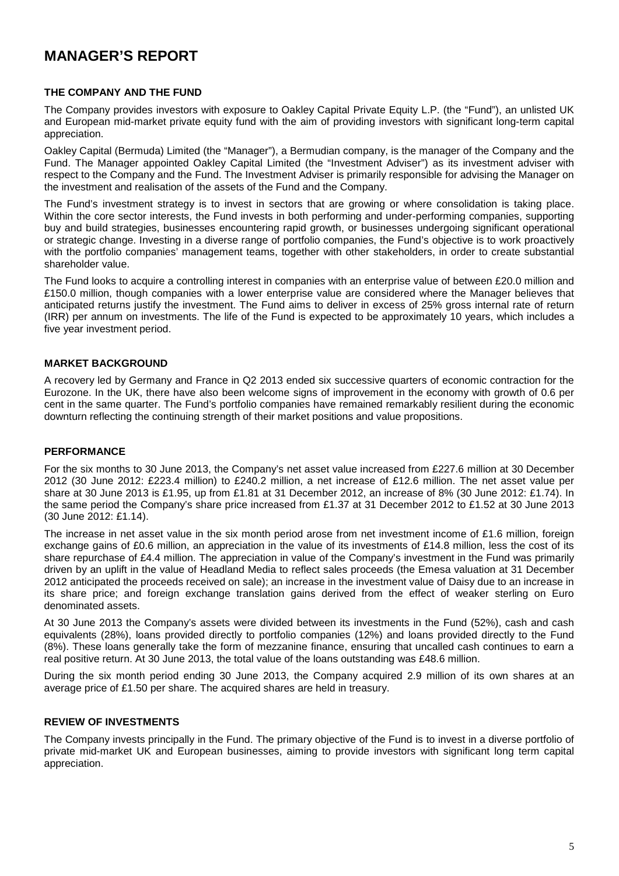# **MANAGER'S REPORT**

### **THE COMPANY AND THE FUND**

The Company provides investors with exposure to Oakley Capital Private Equity L.P. (the "Fund"), an unlisted UK and European mid-market private equity fund with the aim of providing investors with significant long-term capital appreciation.

Oakley Capital (Bermuda) Limited (the "Manager"), a Bermudian company, is the manager of the Company and the Fund. The Manager appointed Oakley Capital Limited (the "Investment Adviser") as its investment adviser with respect to the Company and the Fund. The Investment Adviser is primarily responsible for advising the Manager on the investment and realisation of the assets of the Fund and the Company.

The Fund's investment strategy is to invest in sectors that are growing or where consolidation is taking place. Within the core sector interests, the Fund invests in both performing and under-performing companies, supporting buy and build strategies, businesses encountering rapid growth, or businesses undergoing significant operational or strategic change. Investing in a diverse range of portfolio companies, the Fund's objective is to work proactively with the portfolio companies' management teams, together with other stakeholders, in order to create substantial shareholder value.

The Fund looks to acquire a controlling interest in companies with an enterprise value of between £20.0 million and £150.0 million, though companies with a lower enterprise value are considered where the Manager believes that anticipated returns justify the investment. The Fund aims to deliver in excess of 25% gross internal rate of return (IRR) per annum on investments. The life of the Fund is expected to be approximately 10 years, which includes a five year investment period.

# **MARKET BACKGROUND**

A recovery led by Germany and France in Q2 2013 ended six successive quarters of economic contraction for the Eurozone. In the UK, there have also been welcome signs of improvement in the economy with growth of 0.6 per cent in the same quarter. The Fund's portfolio companies have remained remarkably resilient during the economic downturn reflecting the continuing strength of their market positions and value propositions.

# **PERFORMANCE**

For the six months to 30 June 2013, the Company's net asset value increased from £227.6 million at 30 December 2012 (30 June 2012: £223.4 million) to £240.2 million, a net increase of £12.6 million. The net asset value per share at 30 June 2013 is £1.95, up from £1.81 at 31 December 2012, an increase of 8% (30 June 2012: £1.74). In the same period the Company's share price increased from £1.37 at 31 December 2012 to £1.52 at 30 June 2013 (30 June 2012: £1.14).

The increase in net asset value in the six month period arose from net investment income of £1.6 million, foreign exchange gains of £0.6 million, an appreciation in the value of its investments of £14.8 million, less the cost of its share repurchase of £4.4 million. The appreciation in value of the Company's investment in the Fund was primarily driven by an uplift in the value of Headland Media to reflect sales proceeds (the Emesa valuation at 31 December 2012 anticipated the proceeds received on sale); an increase in the investment value of Daisy due to an increase in its share price; and foreign exchange translation gains derived from the effect of weaker sterling on Euro denominated assets.

At 30 June 2013 the Company's assets were divided between its investments in the Fund (52%), cash and cash equivalents (28%), loans provided directly to portfolio companies (12%) and loans provided directly to the Fund (8%). These loans generally take the form of mezzanine finance, ensuring that uncalled cash continues to earn a real positive return. At 30 June 2013, the total value of the loans outstanding was £48.6 million.

During the six month period ending 30 June 2013, the Company acquired 2.9 million of its own shares at an average price of £1.50 per share. The acquired shares are held in treasury.

# **REVIEW OF INVESTMENTS**

The Company invests principally in the Fund. The primary objective of the Fund is to invest in a diverse portfolio of private mid-market UK and European businesses, aiming to provide investors with significant long term capital appreciation.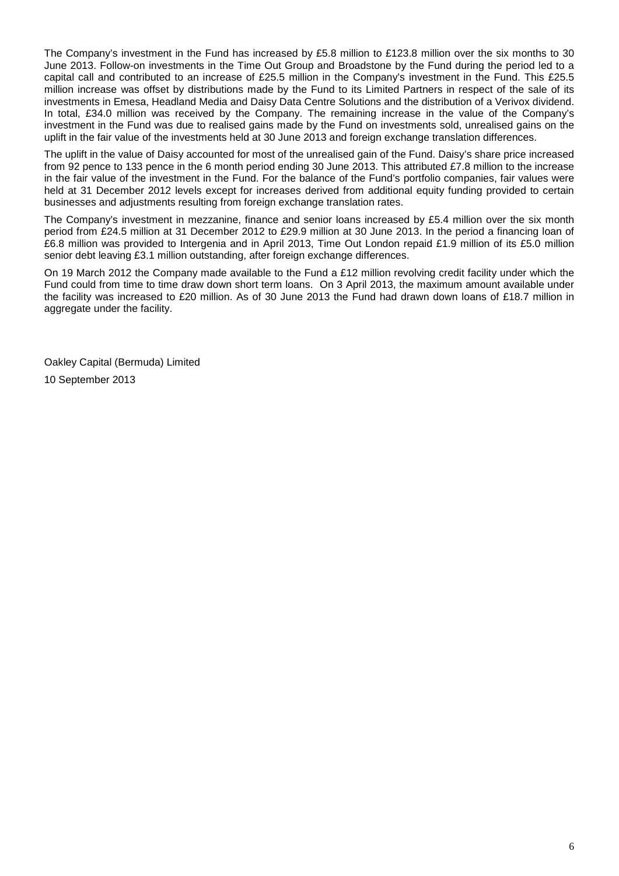The Company's investment in the Fund has increased by £5.8 million to £123.8 million over the six months to 30 June 2013. Follow-on investments in the Time Out Group and Broadstone by the Fund during the period led to a capital call and contributed to an increase of £25.5 million in the Company's investment in the Fund. This £25.5 million increase was offset by distributions made by the Fund to its Limited Partners in respect of the sale of its investments in Emesa, Headland Media and Daisy Data Centre Solutions and the distribution of a Verivox dividend. In total, £34.0 million was received by the Company. The remaining increase in the value of the Company's investment in the Fund was due to realised gains made by the Fund on investments sold, unrealised gains on the uplift in the fair value of the investments held at 30 June 2013 and foreign exchange translation differences.

The uplift in the value of Daisy accounted for most of the unrealised gain of the Fund. Daisy's share price increased from 92 pence to 133 pence in the 6 month period ending 30 June 2013. This attributed £7.8 million to the increase in the fair value of the investment in the Fund. For the balance of the Fund's portfolio companies, fair values were held at 31 December 2012 levels except for increases derived from additional equity funding provided to certain businesses and adjustments resulting from foreign exchange translation rates.

The Company's investment in mezzanine, finance and senior loans increased by £5.4 million over the six month period from £24.5 million at 31 December 2012 to £29.9 million at 30 June 2013. In the period a financing loan of £6.8 million was provided to Intergenia and in April 2013, Time Out London repaid £1.9 million of its £5.0 million senior debt leaving £3.1 million outstanding, after foreign exchange differences.

On 19 March 2012 the Company made available to the Fund a £12 million revolving credit facility under which the Fund could from time to time draw down short term loans. On 3 April 2013, the maximum amount available under the facility was increased to £20 million. As of 30 June 2013 the Fund had drawn down loans of £18.7 million in aggregate under the facility.

Oakley Capital (Bermuda) Limited 10 September 2013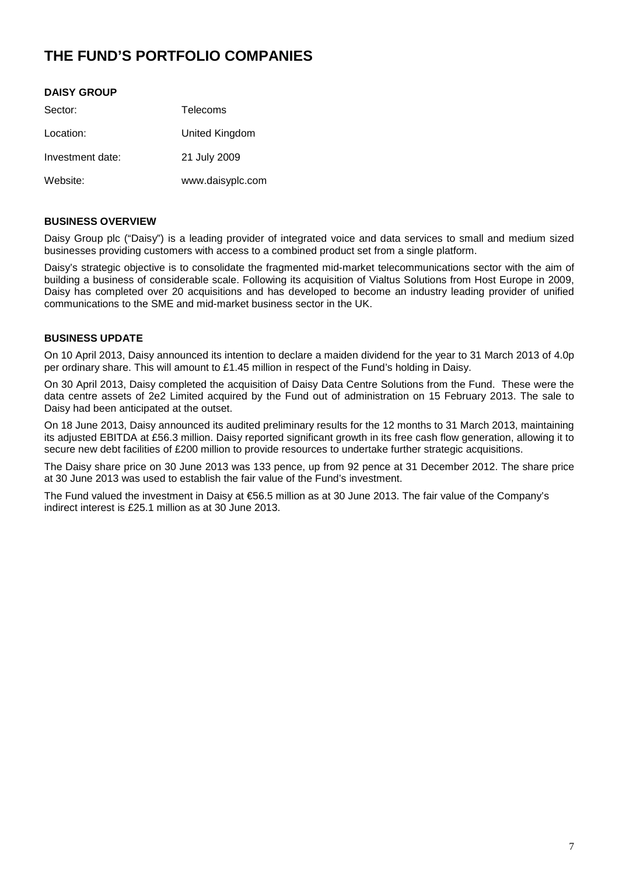# **THE FUND'S PORTFOLIO COMPANIES**

# **DAISY GROUP**

| Sector:          | Telecoms         |
|------------------|------------------|
| Location:        | United Kingdom   |
| Investment date: | 21 July 2009     |
| Website:         | www.daisyplc.com |

# **BUSINESS OVERVIEW**

Daisy Group plc ("Daisy") is a leading provider of integrated voice and data services to small and medium sized businesses providing customers with access to a combined product set from a single platform.

Daisy's strategic objective is to consolidate the fragmented mid-market telecommunications sector with the aim of building a business of considerable scale. Following its acquisition of Vialtus Solutions from Host Europe in 2009, Daisy has completed over 20 acquisitions and has developed to become an industry leading provider of unified communications to the SME and mid-market business sector in the UK.

# **BUSINESS UPDATE**

On 10 April 2013, Daisy announced its intention to declare a maiden dividend for the year to 31 March 2013 of 4.0p per ordinary share. This will amount to £1.45 million in respect of the Fund's holding in Daisy.

On 30 April 2013, Daisy completed the acquisition of Daisy Data Centre Solutions from the Fund. These were the data centre assets of 2e2 Limited acquired by the Fund out of administration on 15 February 2013. The sale to Daisy had been anticipated at the outset.

On 18 June 2013, Daisy announced its audited preliminary results for the 12 months to 31 March 2013, maintaining its adjusted EBITDA at £56.3 million. Daisy reported significant growth in its free cash flow generation, allowing it to secure new debt facilities of £200 million to provide resources to undertake further strategic acquisitions.

The Daisy share price on 30 June 2013 was 133 pence, up from 92 pence at 31 December 2012. The share price at 30 June 2013 was used to establish the fair value of the Fund's investment.

The Fund valued the investment in Daisy at €56.5 million as at 30 June 2013. The fair value of the Company's indirect interest is £25.1 million as at 30 June 2013.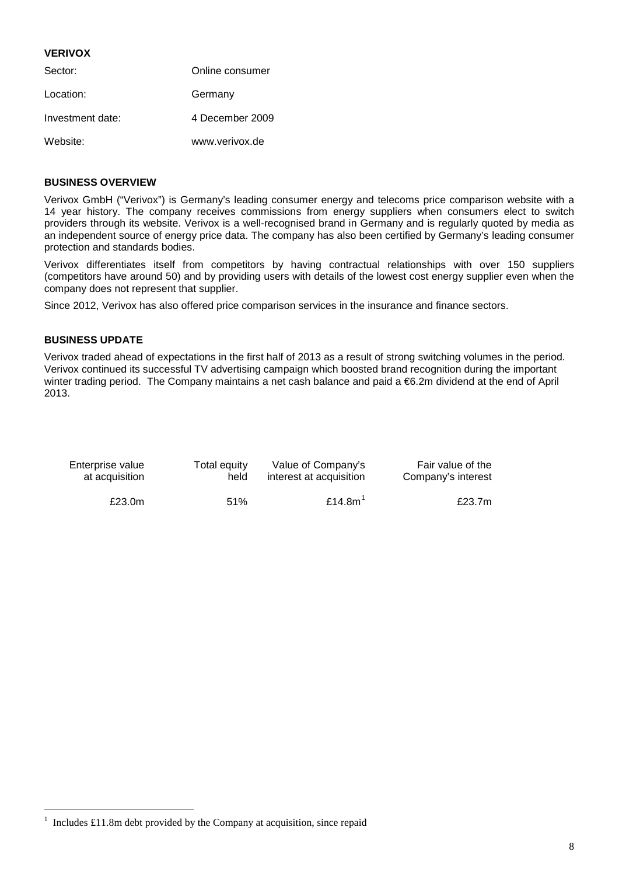### **VERIVOX**

| Sector:          | Online consumer |
|------------------|-----------------|
| Location:        | Germany         |
| Investment date: | 4 December 2009 |
| Website:         | www.verivox.de  |

# **BUSINESS OVERVIEW**

Verivox GmbH ("Verivox") is Germany's leading consumer energy and telecoms price comparison website with a 14 year history. The company receives commissions from energy suppliers when consumers elect to switch providers through its website. Verivox is a well-recognised brand in Germany and is regularly quoted by media as an independent source of energy price data. The company has also been certified by Germany's leading consumer protection and standards bodies.

Verivox differentiates itself from competitors by having contractual relationships with over 150 suppliers (competitors have around 50) and by providing users with details of the lowest cost energy supplier even when the company does not represent that supplier.

Since 2012, Verivox has also offered price comparison services in the insurance and finance sectors.

# **BUSINESS UPDATE**

Verivox traded ahead of expectations in the first half of 2013 as a result of strong switching volumes in the period. Verivox continued its successful TV advertising campaign which boosted brand recognition during the important winter trading period. The Company maintains a net cash balance and paid a €6.2m dividend at the end of April 2013.

| Enterprise value | Total equity | Value of Company's      | Fair value of the  |
|------------------|--------------|-------------------------|--------------------|
| at acquisition   | held         | interest at acquisition | Company's interest |
| £23.0m           | 51%          | £14.8 $m1$              | £23.7m             |

<span id="page-7-0"></span> $\frac{1}{1}$  $1$  Includes £11.8m debt provided by the Company at acquisition, since repaid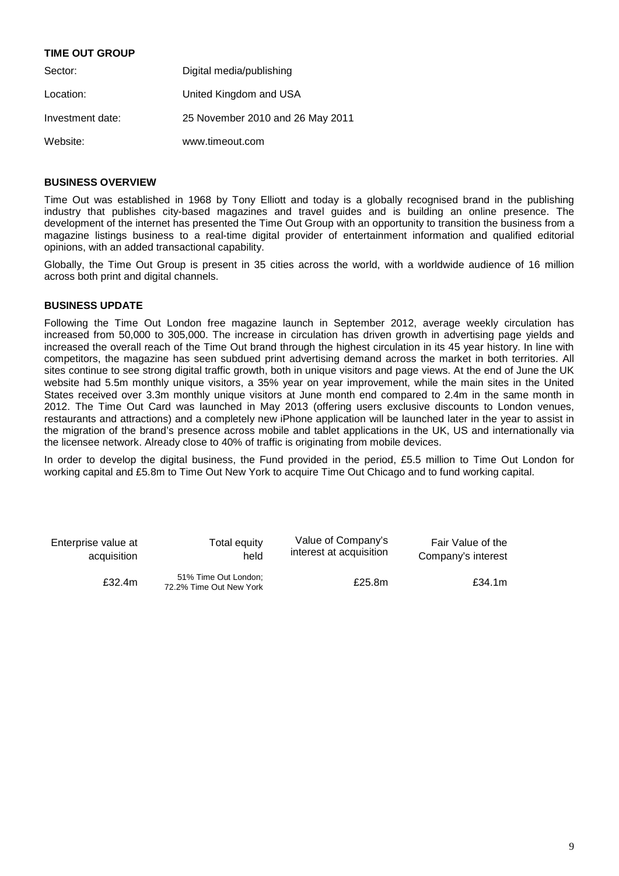# **TIME OUT GROUP**

| Sector:          | Digital media/publishing         |
|------------------|----------------------------------|
| Location:        | United Kingdom and USA           |
| Investment date: | 25 November 2010 and 26 May 2011 |
| Website:         | www.timeout.com                  |

# **BUSINESS OVERVIEW**

Time Out was established in 1968 by Tony Elliott and today is a globally recognised brand in the publishing industry that publishes city-based magazines and travel guides and is building an online presence. The development of the internet has presented the Time Out Group with an opportunity to transition the business from a magazine listings business to a real-time digital provider of entertainment information and qualified editorial opinions, with an added transactional capability.

Globally, the Time Out Group is present in 35 cities across the world, with a worldwide audience of 16 million across both print and digital channels.

# **BUSINESS UPDATE**

Following the Time Out London free magazine launch in September 2012, average weekly circulation has increased from 50,000 to 305,000. The increase in circulation has driven growth in advertising page yields and increased the overall reach of the Time Out brand through the highest circulation in its 45 year history. In line with competitors, the magazine has seen subdued print advertising demand across the market in both territories. All sites continue to see strong digital traffic growth, both in unique visitors and page views. At the end of June the UK website had 5.5m monthly unique visitors, a 35% year on year improvement, while the main sites in the United States received over 3.3m monthly unique visitors at June month end compared to 2.4m in the same month in 2012. The Time Out Card was launched in May 2013 (offering users exclusive discounts to London venues, restaurants and attractions) and a completely new iPhone application will be launched later in the year to assist in the migration of the brand's presence across mobile and tablet applications in the UK, US and internationally via the licensee network. Already close to 40% of traffic is originating from mobile devices.

In order to develop the digital business, the Fund provided in the period, £5.5 million to Time Out London for working capital and £5.8m to Time Out New York to acquire Time Out Chicago and to fund working capital.

| Enterprise value at | Total equity                                    | Value of Company's      | Fair Value of the  |
|---------------------|-------------------------------------------------|-------------------------|--------------------|
| acquisition         | held                                            | interest at acquisition | Company's interest |
| £32.4m              | 51% Time Out London;<br>72.2% Time Out New York | £25.8m                  | £34.1m             |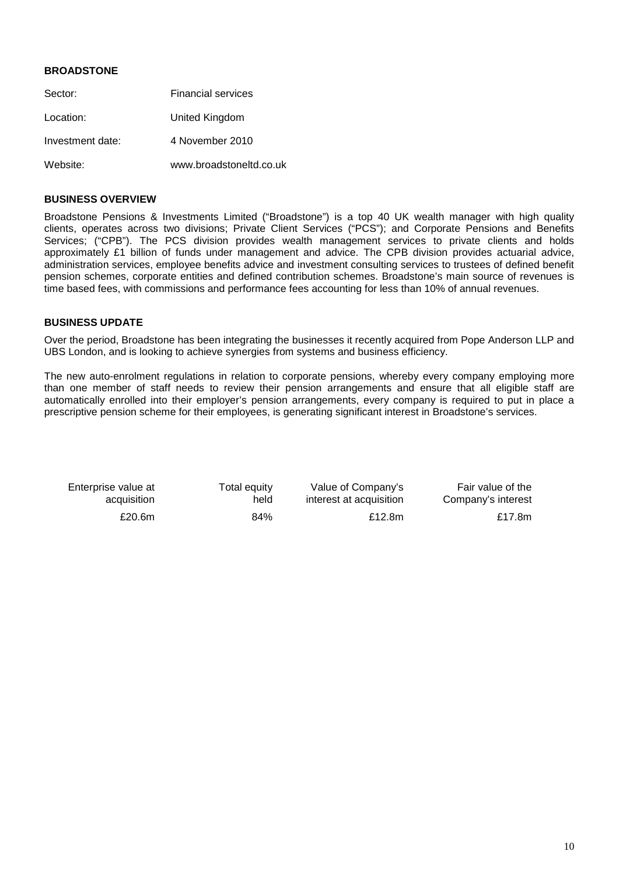# **BROADSTONE**

| Sector:          | <b>Financial services</b> |
|------------------|---------------------------|
| Location:        | United Kingdom            |
| Investment date: | 4 November 2010           |
| Website:         | www.broadstoneltd.co.uk   |

### **BUSINESS OVERVIEW**

Broadstone Pensions & Investments Limited ("Broadstone") is a top 40 UK wealth manager with high quality clients, operates across two divisions; Private Client Services ("PCS"); and Corporate Pensions and Benefits Services; ("CPB"). The PCS division provides wealth management services to private clients and holds approximately £1 billion of funds under management and advice. The CPB division provides actuarial advice, administration services, employee benefits advice and investment consulting services to trustees of defined benefit pension schemes, corporate entities and defined contribution schemes. Broadstone's main source of revenues is time based fees, with commissions and performance fees accounting for less than 10% of annual revenues.

# **BUSINESS UPDATE**

Over the period, Broadstone has been integrating the businesses it recently acquired from Pope Anderson LLP and UBS London, and is looking to achieve synergies from systems and business efficiency.

The new auto-enrolment regulations in relation to corporate pensions, whereby every company employing more than one member of staff needs to review their pension arrangements and ensure that all eligible staff are automatically enrolled into their employer's pension arrangements, every company is required to put in place a prescriptive pension scheme for their employees, is generating significant interest in Broadstone's services.

| Enterprise value at | Total equity | Value of Company's      | Fair value of the  |
|---------------------|--------------|-------------------------|--------------------|
| acquisition         | held         | interest at acquisition | Company's interest |
| £20.6m              | 84%          | £12.8 $m$               | £17.8m             |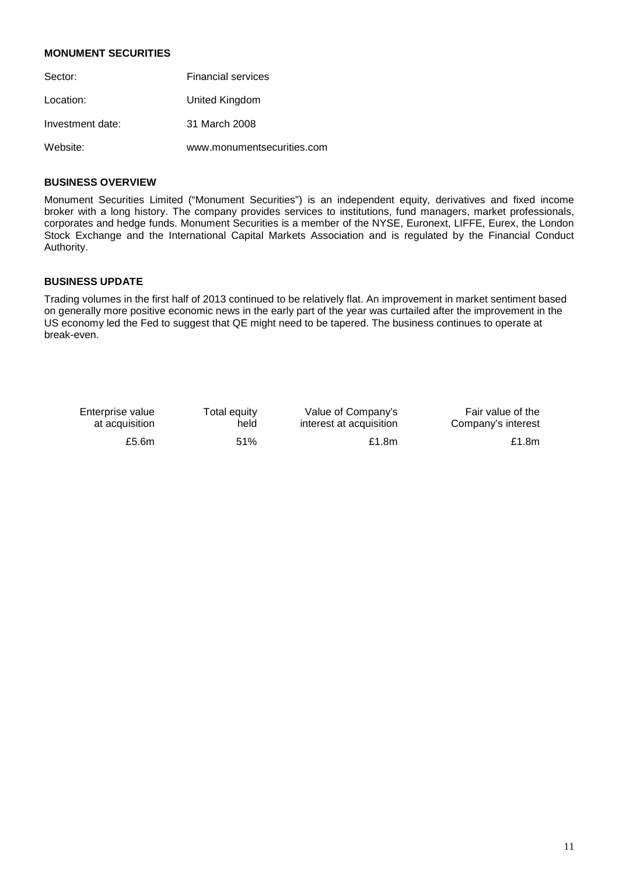# **MONUMENT SECURITIES**

| Sector:          | <b>Financial services</b>  |
|------------------|----------------------------|
| Location:        | United Kingdom             |
| Investment date: | 31 March 2008              |
| Website:         | www.monumentsecurities.com |

# **BUSINESS OVERVIEW**

Monument Securities Limited ("Monument Securities") is an independent equity, derivatives and fixed income broker with a long history. The company provides services to institutions, fund managers, market professionals, corporates and hedge funds. Monument Securities is a member of the NYSE, Euronext, LIFFE, Eurex, the London Stock Exchange and the International Capital Markets Association and is regulated by the Financial Conduct Authority.

# **BUSINESS UPDATE**

Trading volumes in the first half of 2013 continued to be relatively flat. An improvement in market sentiment based on generally more positive economic news in the early part of the year was curtailed after the improvement in the US economy led the Fed to suggest that QE might need to be tapered. The business continues to operate at break-even.

| Enterprise value | Total equity | Value of Company's      | Fair value of the  |
|------------------|--------------|-------------------------|--------------------|
| at acquisition   | held         | interest at acquisition | Company's interest |
| £5.6 $m$         | 51%          | £1.8 $m$                | £1.8 $m$           |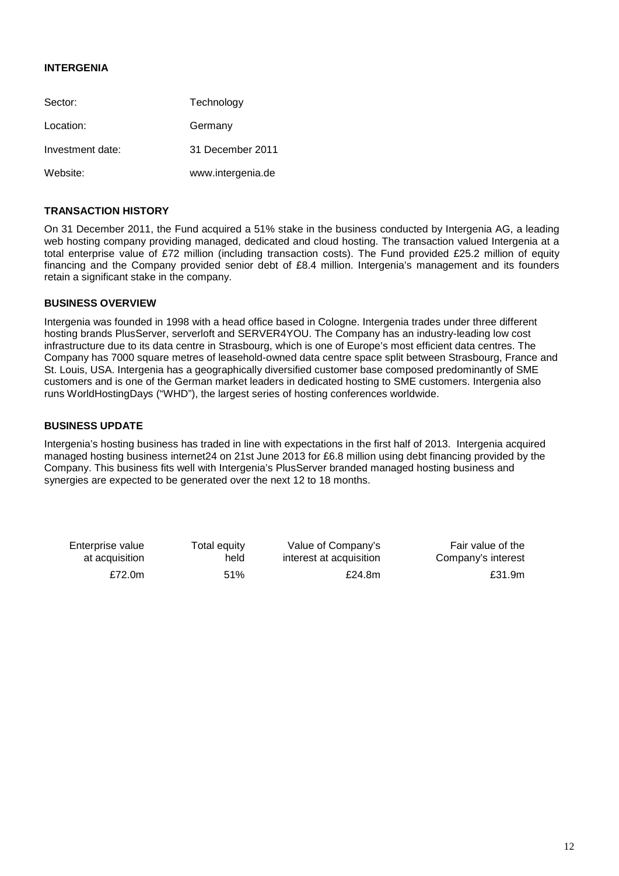# **INTERGENIA**

| Sector:          | Technology        |
|------------------|-------------------|
| Location:        | Germany           |
| Investment date: | 31 December 2011  |
| Website:         | www.intergenia.de |

# **TRANSACTION HISTORY**

On 31 December 2011, the Fund acquired a 51% stake in the business conducted by Intergenia AG, a leading web hosting company providing managed, dedicated and cloud hosting. The transaction valued Intergenia at a total enterprise value of £72 million (including transaction costs). The Fund provided £25.2 million of equity financing and the Company provided senior debt of £8.4 million. Intergenia's management and its founders retain a significant stake in the company.

# **BUSINESS OVERVIEW**

Intergenia was founded in 1998 with a head office based in Cologne. Intergenia trades under three different hosting brands PlusServer, serverloft and SERVER4YOU. The Company has an industry-leading low cost infrastructure due to its data centre in Strasbourg, which is one of Europe's most efficient data centres. The Company has 7000 square metres of leasehold-owned data centre space split between Strasbourg, France and St. Louis, USA. Intergenia has a geographically diversified customer base composed predominantly of SME customers and is one of the German market leaders in dedicated hosting to SME customers. Intergenia also runs WorldHostingDays ("WHD"), the largest series of hosting conferences worldwide.

# **BUSINESS UPDATE**

Intergenia's hosting business has traded in line with expectations in the first half of 2013. Intergenia acquired managed hosting business internet24 on 21st June 2013 for £6.8 million using debt financing provided by the Company. This business fits well with Intergenia's PlusServer branded managed hosting business and synergies are expected to be generated over the next 12 to 18 months.

Enterprise value at acquisition Total equity held

 Value of Company's interest at acquisition

Fair value of the Company's interest £72.0m 51% £24.8m £31.9m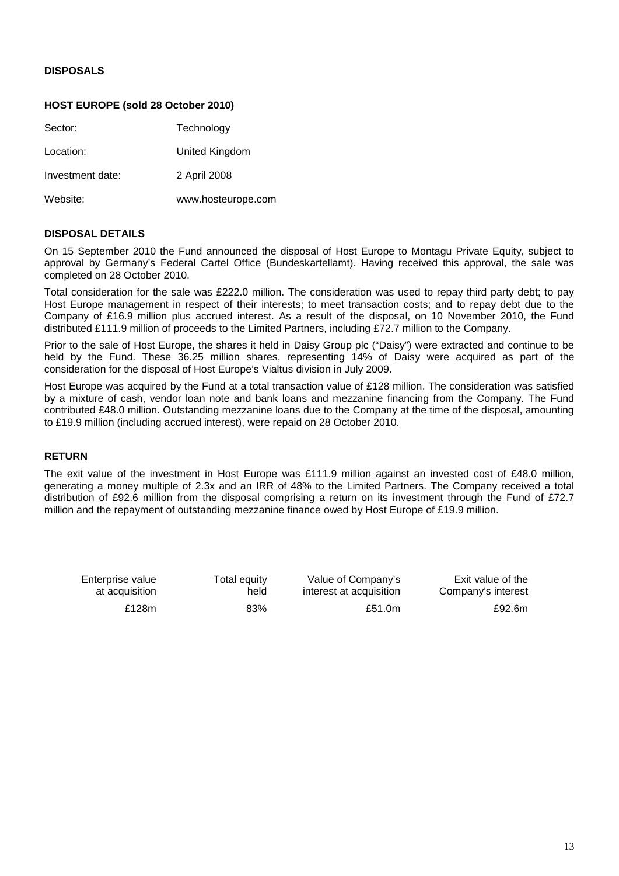# **DISPOSALS**

# **HOST EUROPE (sold 28 October 2010)**

| Sector:          | Technology         |
|------------------|--------------------|
| Location:        | United Kingdom     |
| Investment date: | 2 April 2008       |
| Website:         | www.hosteurope.com |

# **DISPOSAL DETAILS**

On 15 September 2010 the Fund announced the disposal of Host Europe to Montagu Private Equity, subject to approval by Germany's Federal Cartel Office (Bundeskartellamt). Having received this approval, the sale was completed on 28 October 2010.

Total consideration for the sale was £222.0 million. The consideration was used to repay third party debt; to pay Host Europe management in respect of their interests; to meet transaction costs; and to repay debt due to the Company of £16.9 million plus accrued interest. As a result of the disposal, on 10 November 2010, the Fund distributed £111.9 million of proceeds to the Limited Partners, including £72.7 million to the Company.

Prior to the sale of Host Europe, the shares it held in Daisy Group plc ("Daisy") were extracted and continue to be held by the Fund. These 36.25 million shares, representing 14% of Daisy were acquired as part of the consideration for the disposal of Host Europe's Vialtus division in July 2009.

Host Europe was acquired by the Fund at a total transaction value of £128 million. The consideration was satisfied by a mixture of cash, vendor loan note and bank loans and mezzanine financing from the Company. The Fund contributed £48.0 million. Outstanding mezzanine loans due to the Company at the time of the disposal, amounting to £19.9 million (including accrued interest), were repaid on 28 October 2010.

# **RETURN**

The exit value of the investment in Host Europe was £111.9 million against an invested cost of £48.0 million, generating a money multiple of 2.3x and an IRR of 48% to the Limited Partners. The Company received a total distribution of £92.6 million from the disposal comprising a return on its investment through the Fund of £72.7 million and the repayment of outstanding mezzanine finance owed by Host Europe of £19.9 million.

Enterprise value at acquisition **Total equity** held

 Value of Company's interest at acquisition £128m 83% £51.0m £92.6m

Exit value of the Company's interest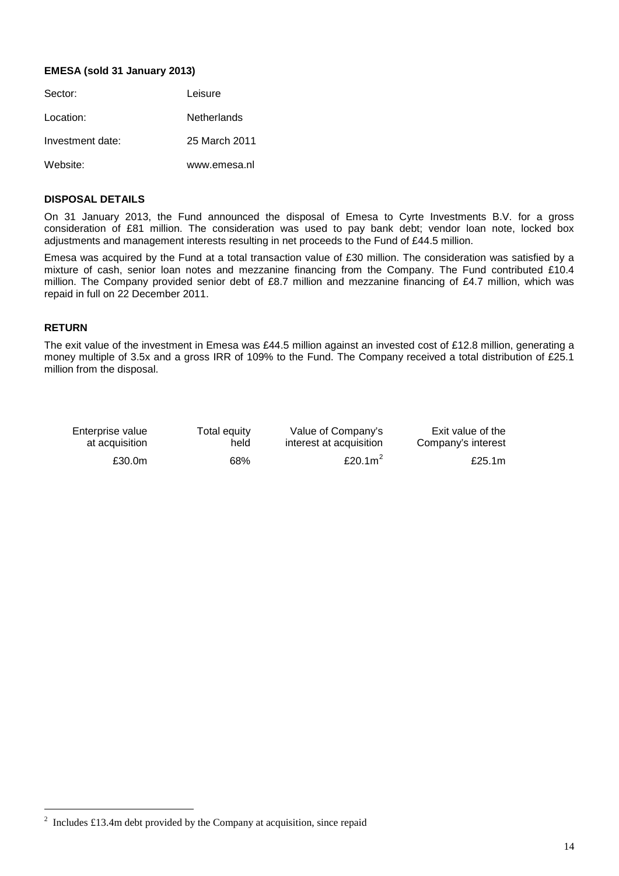# **EMESA (sold 31 January 2013)**

| Sector:          | Leisure       |
|------------------|---------------|
| Location:        | Netherlands   |
| Investment date: | 25 March 2011 |
| Website:         | www.emesa.nl  |

### **DISPOSAL DETAILS**

On 31 January 2013, the Fund announced the disposal of Emesa to Cyrte Investments B.V. for a gross consideration of £81 million. The consideration was used to pay bank debt; vendor loan note, locked box adjustments and management interests resulting in net proceeds to the Fund of £44.5 million.

Emesa was acquired by the Fund at a total transaction value of £30 million. The consideration was satisfied by a mixture of cash, senior loan notes and mezzanine financing from the Company. The Fund contributed £10.4 million. The Company provided senior debt of £8.7 million and mezzanine financing of £4.7 million, which was repaid in full on 22 December 2011.

# **RETURN**

The exit value of the investment in Emesa was £44.5 million against an invested cost of £12.8 million, generating a money multiple of 3.5x and a gross IRR of 109% to the Fund. The Company received a total distribution of £25.1 million from the disposal.

| Enterprise value | Total equity | Value of Company's      | Exit value of the  |
|------------------|--------------|-------------------------|--------------------|
| at acquisition   | held         | interest at acquisition | Company's interest |
| £30.0m           | 68%          | £20.1 $m2$              | £25.1 $m$          |

<span id="page-13-0"></span> $\frac{1}{2}$  $12$  Includes £13.4m debt provided by the Company at acquisition, since repaid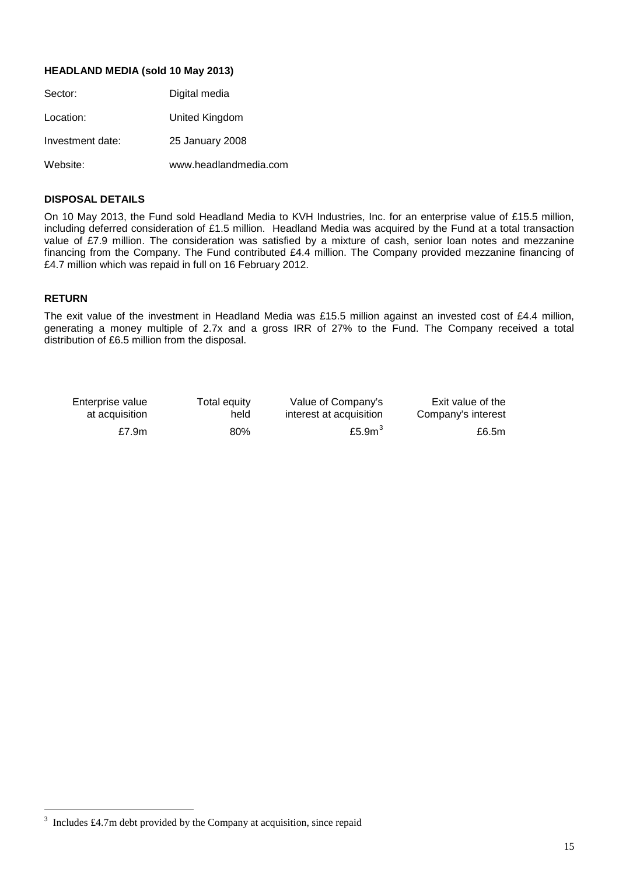# **HEADLAND MEDIA (sold 10 May 2013)**

| Sector:          | Digital media         |
|------------------|-----------------------|
| Location:        | United Kingdom        |
| Investment date: | 25 January 2008       |
| Website:         | www.headlandmedia.com |

# **DISPOSAL DETAILS**

On 10 May 2013, the Fund sold Headland Media to KVH Industries, Inc. for an enterprise value of £15.5 million, including deferred consideration of £1.5 million. Headland Media was acquired by the Fund at a total transaction value of £7.9 million. The consideration was satisfied by a mixture of cash, senior loan notes and mezzanine financing from the Company. The Fund contributed £4.4 million. The Company provided mezzanine financing of £4.7 million which was repaid in full on 16 February 2012.

### **RETURN**

The exit value of the investment in Headland Media was £15.5 million against an invested cost of £4.4 million, generating a money multiple of 2.7x and a gross IRR of 27% to the Fund. The Company received a total distribution of £6.5 million from the disposal.

| Enterprise value | Total equity | Value of Company's      | Exit value of the  |
|------------------|--------------|-------------------------|--------------------|
| at acquisition   | held         | interest at acquisition | Company's interest |
| £7.9 $m$         | $80\%$       | £5.9 $m3$               | £6.5m              |

<span id="page-14-0"></span> <sup>3</sup>  $3$  Includes £4.7m debt provided by the Company at acquisition, since repaid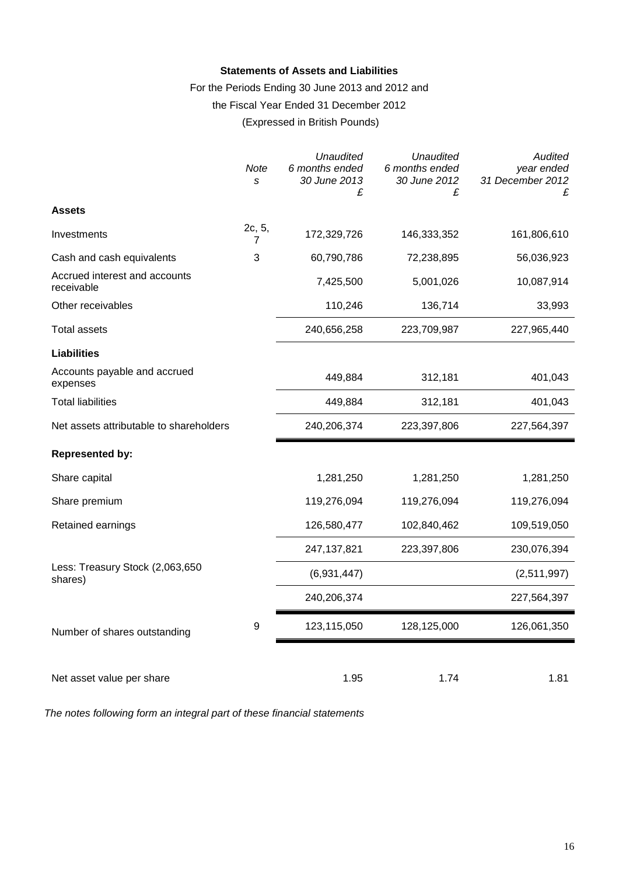# **Statements of Assets and Liabilities**

For the Periods Ending 30 June 2013 and 2012 and

the Fiscal Year Ended 31 December 2012

# (Expressed in British Pounds)

|                                             | Note<br>S   | <b>Unaudited</b><br>6 months ended<br>30 June 2013<br>£ | <b>Unaudited</b><br>6 months ended<br>30 June 2012<br>£ | Audited<br>year ended<br>31 December 2012<br>£ |
|---------------------------------------------|-------------|---------------------------------------------------------|---------------------------------------------------------|------------------------------------------------|
| <b>Assets</b>                               |             |                                                         |                                                         |                                                |
| Investments                                 | 2c, 5,<br>7 | 172,329,726                                             | 146,333,352                                             | 161,806,610                                    |
| Cash and cash equivalents                   | 3           | 60,790,786                                              | 72,238,895                                              | 56,036,923                                     |
| Accrued interest and accounts<br>receivable |             | 7,425,500                                               | 5,001,026                                               | 10,087,914                                     |
| Other receivables                           |             | 110,246                                                 | 136,714                                                 | 33,993                                         |
| <b>Total assets</b>                         |             | 240,656,258                                             | 223,709,987                                             | 227,965,440                                    |
| <b>Liabilities</b>                          |             |                                                         |                                                         |                                                |
| Accounts payable and accrued<br>expenses    |             | 449,884                                                 | 312,181                                                 | 401,043                                        |
| <b>Total liabilities</b>                    |             | 449,884                                                 | 312,181                                                 | 401,043                                        |
| Net assets attributable to shareholders     |             | 240,206,374                                             | 223,397,806                                             | 227,564,397                                    |
| <b>Represented by:</b>                      |             |                                                         |                                                         |                                                |
| Share capital                               |             | 1,281,250                                               | 1,281,250                                               | 1,281,250                                      |
| Share premium                               |             | 119,276,094                                             | 119,276,094                                             | 119,276,094                                    |
| Retained earnings                           |             | 126,580,477                                             | 102,840,462                                             | 109,519,050                                    |
|                                             |             | 247, 137, 821                                           | 223,397,806                                             | 230,076,394                                    |
| Less: Treasury Stock (2,063,650<br>shares)  |             | (6,931,447)                                             |                                                         | (2,511,997)                                    |
|                                             |             | 240,206,374                                             |                                                         | 227,564,397                                    |
| Number of shares outstanding                | 9           | 123,115,050                                             | 128,125,000                                             | 126,061,350                                    |
|                                             |             |                                                         |                                                         |                                                |
| Net asset value per share                   |             | 1.95                                                    | 1.74                                                    | 1.81                                           |

*The notes following form an integral part of these financial statements*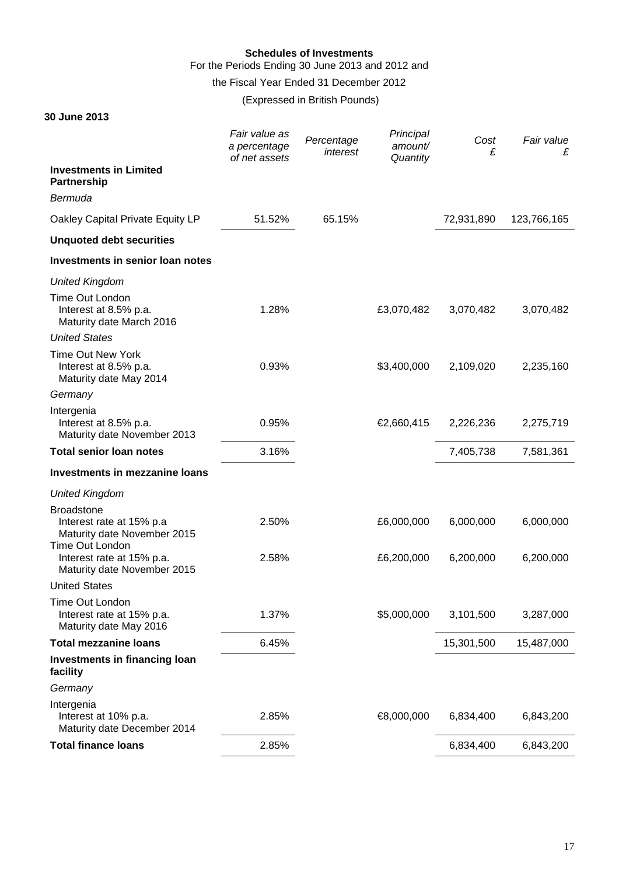# **Schedules of Investments**

For the Periods Ending 30 June 2013 and 2012 and

the Fiscal Year Ended 31 December 2012

**30 June 2013**

(Expressed in British Pounds)

|                                                                                                 | Fair value as<br>a percentage<br>of net assets | Percentage<br>interest | Principal<br>amount/<br>Quantity | Cost<br>£  | Fair value<br>£ |
|-------------------------------------------------------------------------------------------------|------------------------------------------------|------------------------|----------------------------------|------------|-----------------|
| <b>Investments in Limited</b><br><b>Partnership</b>                                             |                                                |                        |                                  |            |                 |
| Bermuda                                                                                         |                                                |                        |                                  |            |                 |
| Oakley Capital Private Equity LP                                                                | 51.52%                                         | 65.15%                 |                                  | 72,931,890 | 123,766,165     |
| <b>Unquoted debt securities</b>                                                                 |                                                |                        |                                  |            |                 |
| Investments in senior loan notes                                                                |                                                |                        |                                  |            |                 |
| <b>United Kingdom</b>                                                                           |                                                |                        |                                  |            |                 |
| Time Out London<br>Interest at 8.5% p.a.<br>Maturity date March 2016                            | 1.28%                                          |                        | £3,070,482                       | 3,070,482  | 3,070,482       |
| <b>United States</b>                                                                            |                                                |                        |                                  |            |                 |
| <b>Time Out New York</b><br>Interest at 8.5% p.a.<br>Maturity date May 2014                     | 0.93%                                          |                        | \$3,400,000                      | 2,109,020  | 2,235,160       |
| Germany                                                                                         |                                                |                        |                                  |            |                 |
| Intergenia<br>Interest at 8.5% p.a.<br>Maturity date November 2013                              | 0.95%                                          |                        | €2,660,415                       | 2,226,236  | 2,275,719       |
| <b>Total senior loan notes</b>                                                                  | 3.16%                                          |                        |                                  | 7,405,738  | 7,581,361       |
| Investments in mezzanine loans                                                                  |                                                |                        |                                  |            |                 |
| <b>United Kingdom</b>                                                                           |                                                |                        |                                  |            |                 |
| <b>Broadstone</b><br>Interest rate at 15% p.a<br>Maturity date November 2015<br>Time Out London | 2.50%                                          |                        | £6,000,000                       | 6,000,000  | 6,000,000       |
| Interest rate at 15% p.a.<br>Maturity date November 2015                                        | 2.58%                                          |                        | £6,200,000                       | 6,200,000  | 6,200,000       |
| <b>United States</b>                                                                            |                                                |                        |                                  |            |                 |
| Time Out London<br>Interest rate at 15% p.a.<br>Maturity date May 2016                          | 1.37%                                          |                        | \$5,000,000                      | 3,101,500  | 3,287,000       |
| <b>Total mezzanine loans</b>                                                                    | 6.45%                                          |                        |                                  | 15,301,500 | 15,487,000      |
| Investments in financing loan<br>facility                                                       |                                                |                        |                                  |            |                 |
| Germany                                                                                         |                                                |                        |                                  |            |                 |
| Intergenia<br>Interest at 10% p.a.<br>Maturity date December 2014                               | 2.85%                                          |                        | €8,000,000                       | 6,834,400  | 6,843,200       |
| <b>Total finance loans</b>                                                                      | 2.85%                                          |                        |                                  | 6,834,400  | 6,843,200       |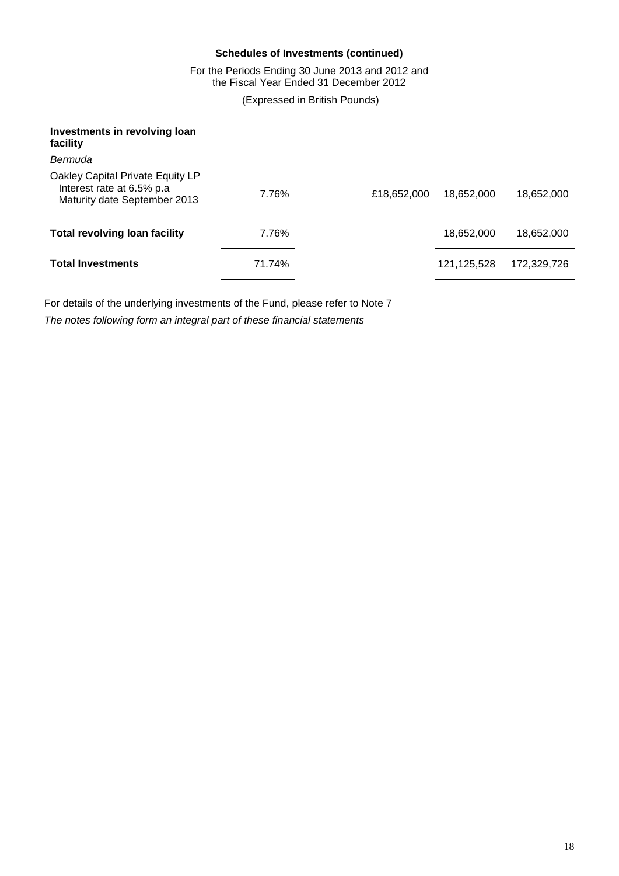# **Schedules of Investments (continued)**

For the Periods Ending 30 June 2013 and 2012 and the Fiscal Year Ended 31 December 2012

(Expressed in British Pounds)

| Investments in revolving loan<br>facility                                                      |        |             |               |             |
|------------------------------------------------------------------------------------------------|--------|-------------|---------------|-------------|
| Bermuda                                                                                        |        |             |               |             |
| Oakley Capital Private Equity LP<br>Interest rate at 6.5% p.a.<br>Maturity date September 2013 | 7.76%  | £18,652,000 | 18,652,000    | 18,652,000  |
| <b>Total revolving loan facility</b>                                                           | 7.76%  |             | 18,652,000    | 18,652,000  |
| <b>Total Investments</b>                                                                       | 71.74% |             | 121, 125, 528 | 172,329,726 |

For details of the underlying investments of the Fund, please refer to Note 7 *The notes following form an integral part of these financial statements*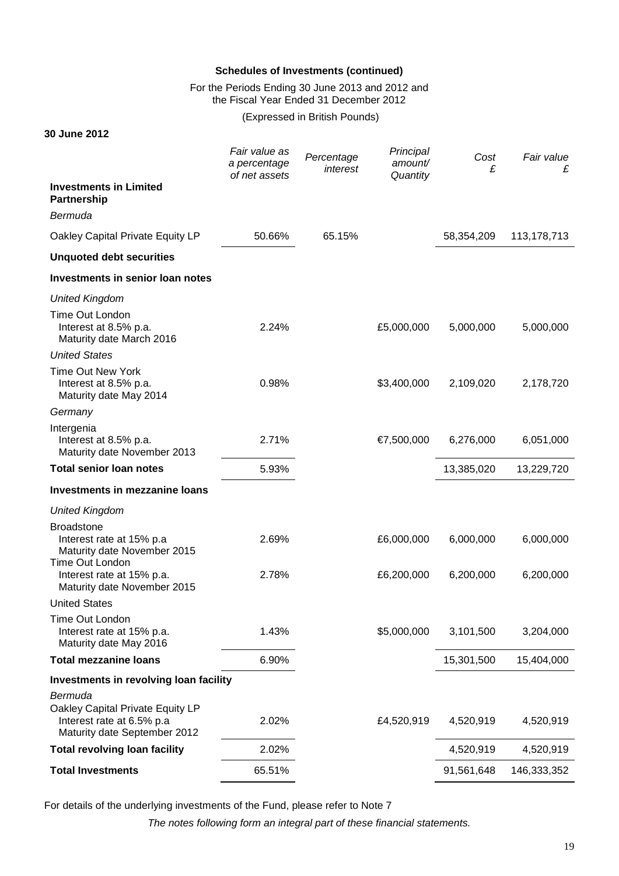# **Schedules of Investments (continued)**

For the Periods Ending 30 June 2013 and 2012 and the Fiscal Year Ended 31 December 2012

(Expressed in British Pounds)

**30 June 2012**

|                                                                                                 | Fair value as<br>a percentage<br>of net assets | Percentage<br>interest | Principal<br>amount/<br>Quantity | Cost<br>£  | Fair value<br>£ |
|-------------------------------------------------------------------------------------------------|------------------------------------------------|------------------------|----------------------------------|------------|-----------------|
| <b>Investments in Limited</b><br><b>Partnership</b>                                             |                                                |                        |                                  |            |                 |
| Bermuda                                                                                         |                                                |                        |                                  |            |                 |
| Oakley Capital Private Equity LP                                                                | 50.66%                                         | 65.15%                 |                                  | 58,354,209 | 113, 178, 713   |
| <b>Unquoted debt securities</b>                                                                 |                                                |                        |                                  |            |                 |
| Investments in senior loan notes                                                                |                                                |                        |                                  |            |                 |
| <b>United Kingdom</b>                                                                           |                                                |                        |                                  |            |                 |
| Time Out London<br>Interest at 8.5% p.a.<br>Maturity date March 2016                            | 2.24%                                          |                        | £5,000,000                       | 5,000,000  | 5,000,000       |
| <b>United States</b>                                                                            |                                                |                        |                                  |            |                 |
| <b>Time Out New York</b><br>Interest at 8.5% p.a.<br>Maturity date May 2014                     | 0.98%                                          |                        | \$3,400,000                      | 2,109,020  | 2,178,720       |
| Germany                                                                                         |                                                |                        |                                  |            |                 |
| Intergenia<br>Interest at 8.5% p.a.<br>Maturity date November 2013                              | 2.71%                                          |                        | €7,500,000                       | 6,276,000  | 6,051,000       |
| <b>Total senior loan notes</b>                                                                  | 5.93%                                          |                        |                                  | 13,385,020 | 13,229,720      |
| Investments in mezzanine loans                                                                  |                                                |                        |                                  |            |                 |
| <b>United Kingdom</b>                                                                           |                                                |                        |                                  |            |                 |
| <b>Broadstone</b><br>Interest rate at 15% p.a<br>Maturity date November 2015<br>Time Out London | 2.69%                                          |                        | £6,000,000                       | 6,000,000  | 6,000,000       |
| Interest rate at 15% p.a.<br>Maturity date November 2015                                        | 2.78%                                          |                        | £6,200,000                       | 6,200,000  | 6,200,000       |
| <b>United States</b>                                                                            |                                                |                        |                                  |            |                 |
| Time Out London<br>Interest rate at 15% p.a.<br>Maturity date May 2016                          | 1.43%                                          |                        | \$5,000,000                      | 3,101,500  | 3,204,000       |
| <b>Total mezzanine loans</b>                                                                    | 6.90%                                          |                        |                                  | 15,301,500 | 15,404,000      |
| Investments in revolving loan facility                                                          |                                                |                        |                                  |            |                 |
| Bermuda                                                                                         |                                                |                        |                                  |            |                 |
| Oakley Capital Private Equity LP<br>Interest rate at 6.5% p.a<br>Maturity date September 2012   | 2.02%                                          |                        | £4,520,919                       | 4,520,919  | 4,520,919       |
| <b>Total revolving loan facility</b>                                                            | 2.02%                                          |                        |                                  | 4,520,919  | 4,520,919       |
| <b>Total Investments</b>                                                                        | 65.51%                                         |                        |                                  | 91,561,648 | 146,333,352     |

For details of the underlying investments of the Fund, please refer to Note 7

*The notes following form an integral part of these financial statements.*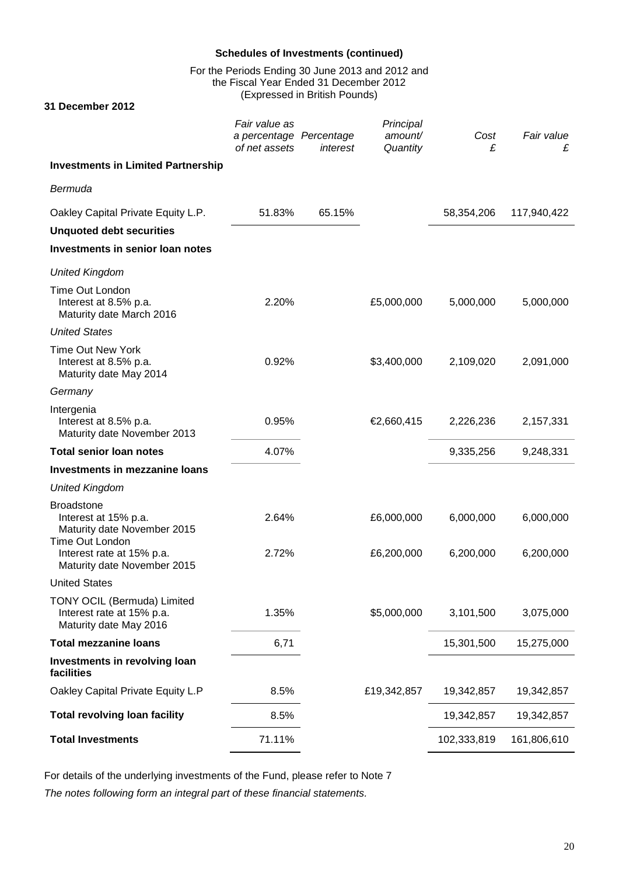# **Schedules of Investments (continued)**

For the Periods Ending 30 June 2013 and 2012 and the Fiscal Year Ended 31 December 2012 (Expressed in British Pounds)

**31 December 2012**

|                                                                                             | Fair value as<br>a percentage Percentage<br>of net assets | interest | Principal<br>amount/<br>Quantity | Cost<br>£   | Fair value<br>£ |
|---------------------------------------------------------------------------------------------|-----------------------------------------------------------|----------|----------------------------------|-------------|-----------------|
| <b>Investments in Limited Partnership</b>                                                   |                                                           |          |                                  |             |                 |
| Bermuda                                                                                     |                                                           |          |                                  |             |                 |
| Oakley Capital Private Equity L.P.                                                          | 51.83%                                                    | 65.15%   |                                  | 58,354,206  | 117,940,422     |
| <b>Unquoted debt securities</b>                                                             |                                                           |          |                                  |             |                 |
| Investments in senior loan notes                                                            |                                                           |          |                                  |             |                 |
| <b>United Kingdom</b>                                                                       |                                                           |          |                                  |             |                 |
| Time Out London<br>Interest at 8.5% p.a.<br>Maturity date March 2016                        | 2.20%                                                     |          | £5,000,000                       | 5,000,000   | 5,000,000       |
| <b>United States</b>                                                                        |                                                           |          |                                  |             |                 |
| <b>Time Out New York</b><br>Interest at 8.5% p.a.<br>Maturity date May 2014                 | 0.92%                                                     |          | \$3,400,000                      | 2,109,020   | 2,091,000       |
| Germany                                                                                     |                                                           |          |                                  |             |                 |
| Intergenia<br>Interest at 8.5% p.a.<br>Maturity date November 2013                          | 0.95%                                                     |          | €2,660,415                       | 2,226,236   | 2,157,331       |
| <b>Total senior loan notes</b>                                                              | 4.07%                                                     |          |                                  | 9,335,256   | 9,248,331       |
| Investments in mezzanine loans                                                              |                                                           |          |                                  |             |                 |
| <b>United Kingdom</b>                                                                       |                                                           |          |                                  |             |                 |
| <b>Broadstone</b><br>Interest at 15% p.a.<br>Maturity date November 2015<br>Time Out London | 2.64%                                                     |          | £6,000,000                       | 6,000,000   | 6,000,000       |
| Interest rate at 15% p.a.<br>Maturity date November 2015                                    | 2.72%                                                     |          | £6,200,000                       | 6,200,000   | 6,200,000       |
| <b>United States</b>                                                                        |                                                           |          |                                  |             |                 |
| TONY OCIL (Bermuda) Limited<br>Interest rate at 15% p.a.<br>Maturity date May 2016          | 1.35%                                                     |          | \$5,000,000                      | 3,101,500   | 3,075,000       |
| <b>Total mezzanine loans</b>                                                                | 6,71                                                      |          |                                  | 15,301,500  | 15,275,000      |
| Investments in revolving loan<br>facilities                                                 |                                                           |          |                                  |             |                 |
| Oakley Capital Private Equity L.P                                                           | 8.5%                                                      |          | £19,342,857                      | 19,342,857  | 19,342,857      |
| <b>Total revolving loan facility</b>                                                        | 8.5%                                                      |          |                                  | 19,342,857  | 19,342,857      |
| <b>Total Investments</b>                                                                    | 71.11%                                                    |          |                                  | 102,333,819 | 161,806,610     |

For details of the underlying investments of the Fund, please refer to Note 7 *The notes following form an integral part of these financial statements.*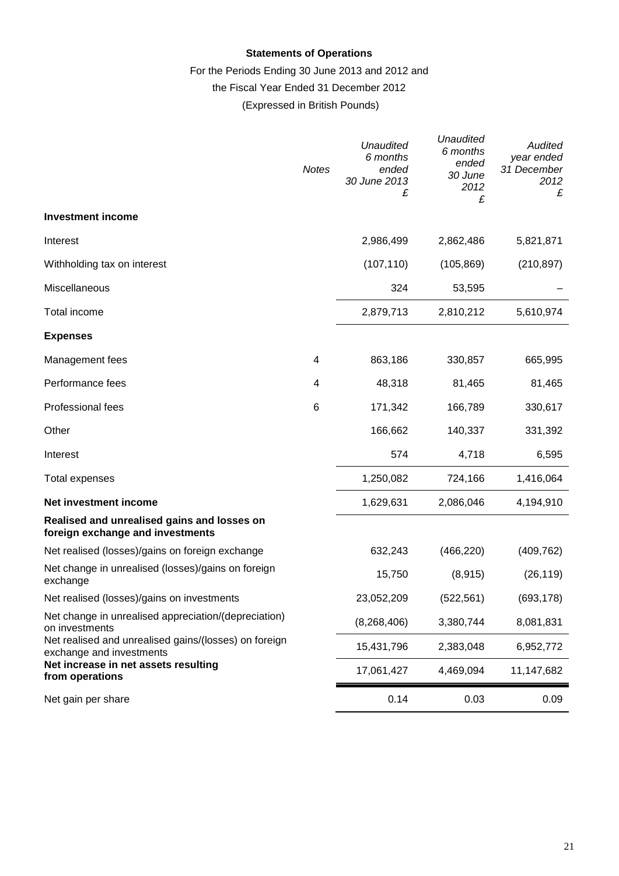# **Statements of Operations**

# For the Periods Ending 30 June 2013 and 2012 and

# the Fiscal Year Ended 31 December 2012

(Expressed in British Pounds)

|                                                                                   | <b>Notes</b> | Unaudited<br>6 months<br>ended<br>30 June 2013<br>£ | <b>Unaudited</b><br>6 months<br>ended<br>30 June<br>2012<br>£ | Audited<br>year ended<br>31 December<br>2012<br>£ |
|-----------------------------------------------------------------------------------|--------------|-----------------------------------------------------|---------------------------------------------------------------|---------------------------------------------------|
| <b>Investment income</b>                                                          |              |                                                     |                                                               |                                                   |
| Interest                                                                          |              | 2,986,499                                           | 2,862,486                                                     | 5,821,871                                         |
| Withholding tax on interest                                                       |              | (107, 110)                                          | (105, 869)                                                    | (210, 897)                                        |
| Miscellaneous                                                                     |              | 324                                                 | 53,595                                                        |                                                   |
| Total income                                                                      |              | 2,879,713                                           | 2,810,212                                                     | 5,610,974                                         |
| <b>Expenses</b>                                                                   |              |                                                     |                                                               |                                                   |
| Management fees                                                                   | 4            | 863,186                                             | 330,857                                                       | 665,995                                           |
| Performance fees                                                                  | 4            | 48,318                                              | 81,465                                                        | 81,465                                            |
| Professional fees                                                                 | 6            | 171,342                                             | 166,789                                                       | 330,617                                           |
| Other                                                                             |              | 166,662                                             | 140,337                                                       | 331,392                                           |
| Interest                                                                          |              | 574                                                 | 4,718                                                         | 6,595                                             |
| Total expenses                                                                    |              | 1,250,082                                           | 724,166                                                       | 1,416,064                                         |
| Net investment income                                                             |              | 1,629,631                                           | 2,086,046                                                     | 4,194,910                                         |
| Realised and unrealised gains and losses on<br>foreign exchange and investments   |              |                                                     |                                                               |                                                   |
| Net realised (losses)/gains on foreign exchange                                   |              | 632,243                                             | (466, 220)                                                    | (409, 762)                                        |
| Net change in unrealised (losses)/gains on foreign<br>exchange                    |              | 15,750                                              | (8, 915)                                                      | (26, 119)                                         |
| Net realised (losses)/gains on investments                                        |              | 23,052,209                                          | (522, 561)                                                    | (693, 178)                                        |
| Net change in unrealised appreciation/(depreciation)<br>on investments            |              | (8, 268, 406)                                       | 3,380,744                                                     | 8,081,831                                         |
| Net realised and unrealised gains/(losses) on foreign<br>exchange and investments |              | 15,431,796                                          | 2,383,048                                                     | 6,952,772                                         |
| Net increase in net assets resulting<br>from operations                           |              | 17,061,427                                          | 4,469,094                                                     | 11,147,682                                        |
| Net gain per share                                                                |              | 0.14                                                | 0.03                                                          | 0.09                                              |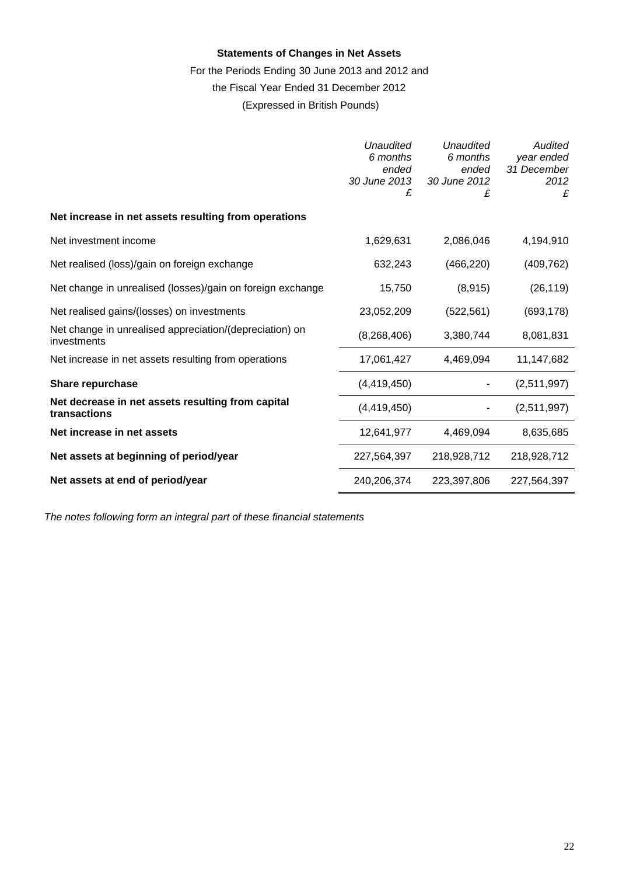# **Statements of Changes in Net Assets**

# For the Periods Ending 30 June 2013 and 2012 and

the Fiscal Year Ended 31 December 2012

(Expressed in British Pounds)

|                                                                        | Unaudited<br>6 months<br>ended<br>30 June 2013<br>£ | Unaudited<br>6 months<br>ended<br>30 June 2012<br>£ | Audited<br>year ended<br>31 December<br>2012<br>£ |
|------------------------------------------------------------------------|-----------------------------------------------------|-----------------------------------------------------|---------------------------------------------------|
| Net increase in net assets resulting from operations                   |                                                     |                                                     |                                                   |
| Net investment income                                                  | 1,629,631                                           | 2,086,046                                           | 4,194,910                                         |
| Net realised (loss)/gain on foreign exchange                           | 632,243                                             | (466, 220)                                          | (409, 762)                                        |
| Net change in unrealised (losses)/gain on foreign exchange             | 15,750                                              | (8, 915)                                            | (26, 119)                                         |
| Net realised gains/(losses) on investments                             | 23,052,209                                          | (522, 561)                                          | (693, 178)                                        |
| Net change in unrealised appreciation/(depreciation) on<br>investments | (8,268,406)                                         | 3,380,744                                           | 8,081,831                                         |
| Net increase in net assets resulting from operations                   | 17,061,427                                          | 4,469,094                                           | 11,147,682                                        |
| Share repurchase                                                       | (4,419,450)                                         |                                                     | (2,511,997)                                       |
| Net decrease in net assets resulting from capital<br>transactions      | (4, 419, 450)                                       |                                                     | (2,511,997)                                       |
| Net increase in net assets                                             | 12,641,977                                          | 4,469,094                                           | 8,635,685                                         |
| Net assets at beginning of period/year                                 | 227,564,397                                         | 218,928,712                                         | 218,928,712                                       |
| Net assets at end of period/year                                       | 240,206,374                                         | 223.397.806                                         | 227.564.397                                       |

*The notes following form an integral part of these financial statements*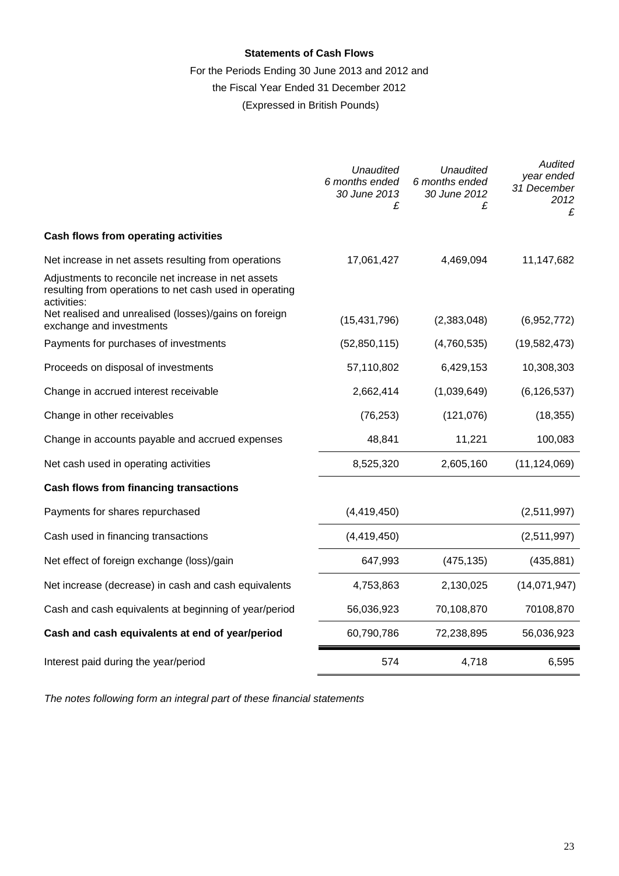# **Statements of Cash Flows**

# For the Periods Ending 30 June 2013 and 2012 and

# the Fiscal Year Ended 31 December 2012

(Expressed in British Pounds)

|                                                                                                                               | Unaudited<br>6 months ended<br>30 June 2013<br>£ | Unaudited<br>6 months ended<br>30 June 2012<br>£ | <b>Audited</b><br>year ended<br>31 December<br>2012<br>£ |
|-------------------------------------------------------------------------------------------------------------------------------|--------------------------------------------------|--------------------------------------------------|----------------------------------------------------------|
| Cash flows from operating activities                                                                                          |                                                  |                                                  |                                                          |
| Net increase in net assets resulting from operations                                                                          | 17,061,427                                       | 4,469,094                                        | 11,147,682                                               |
| Adjustments to reconcile net increase in net assets<br>resulting from operations to net cash used in operating<br>activities: |                                                  |                                                  |                                                          |
| Net realised and unrealised (losses)/gains on foreign<br>exchange and investments                                             | (15, 431, 796)                                   | (2,383,048)                                      | (6,952,772)                                              |
| Payments for purchases of investments                                                                                         | (52, 850, 115)                                   | (4,760,535)                                      | (19, 582, 473)                                           |
| Proceeds on disposal of investments                                                                                           | 57,110,802                                       | 6,429,153                                        | 10,308,303                                               |
| Change in accrued interest receivable                                                                                         | 2,662,414                                        | (1,039,649)                                      | (6, 126, 537)                                            |
| Change in other receivables                                                                                                   | (76, 253)                                        | (121, 076)                                       | (18, 355)                                                |
| Change in accounts payable and accrued expenses                                                                               | 48,841                                           | 11,221                                           | 100,083                                                  |
| Net cash used in operating activities                                                                                         | 8,525,320                                        | 2,605,160                                        | (11, 124, 069)                                           |
| <b>Cash flows from financing transactions</b>                                                                                 |                                                  |                                                  |                                                          |
| Payments for shares repurchased                                                                                               | (4,419,450)                                      |                                                  | (2,511,997)                                              |
| Cash used in financing transactions                                                                                           | (4, 419, 450)                                    |                                                  | (2,511,997)                                              |
| Net effect of foreign exchange (loss)/gain                                                                                    | 647,993                                          | (475, 135)                                       | (435, 881)                                               |
| Net increase (decrease) in cash and cash equivalents                                                                          | 4,753,863                                        | 2,130,025                                        | (14,071,947)                                             |
| Cash and cash equivalents at beginning of year/period                                                                         | 56,036,923                                       | 70,108,870                                       | 70108,870                                                |
| Cash and cash equivalents at end of year/period                                                                               | 60,790,786                                       | 72,238,895                                       | 56,036,923                                               |
| Interest paid during the year/period                                                                                          | 574                                              | 4,718                                            | 6,595                                                    |

*The notes following form an integral part of these financial statements*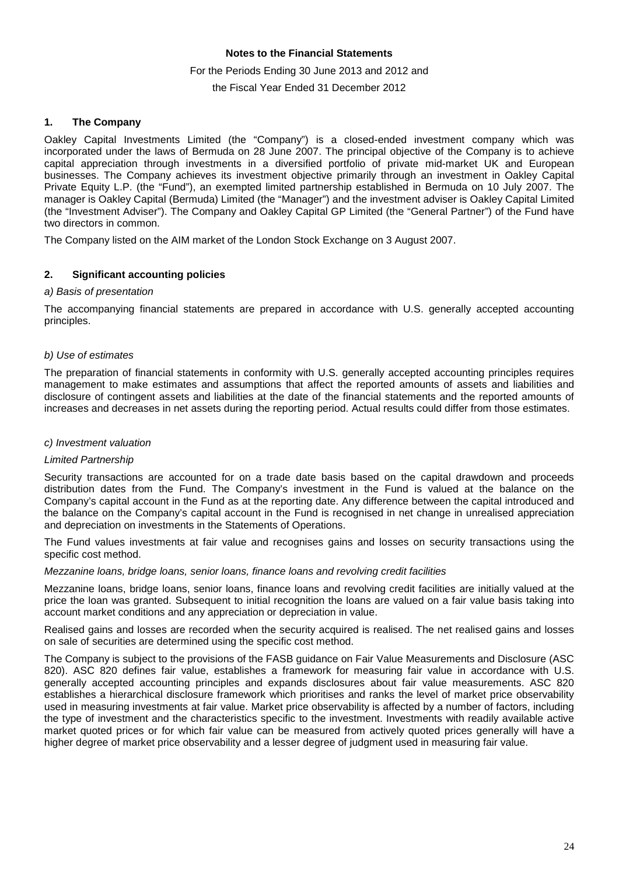### **Notes to the Financial Statements**

#### For the Periods Ending 30 June 2013 and 2012 and

the Fiscal Year Ended 31 December 2012

### **1. The Company**

Oakley Capital Investments Limited (the "Company") is a closed-ended investment company which was incorporated under the laws of Bermuda on 28 June 2007. The principal objective of the Company is to achieve capital appreciation through investments in a diversified portfolio of private mid-market UK and European businesses. The Company achieves its investment objective primarily through an investment in Oakley Capital Private Equity L.P. (the "Fund"), an exempted limited partnership established in Bermuda on 10 July 2007. The manager is Oakley Capital (Bermuda) Limited (the "Manager") and the investment adviser is Oakley Capital Limited (the "Investment Adviser"). The Company and Oakley Capital GP Limited (the "General Partner") of the Fund have two directors in common.

The Company listed on the AIM market of the London Stock Exchange on 3 August 2007.

### **2. Significant accounting policies**

### *a) Basis of presentation*

The accompanying financial statements are prepared in accordance with U.S. generally accepted accounting principles.

### *b) Use of estimates*

The preparation of financial statements in conformity with U.S. generally accepted accounting principles requires management to make estimates and assumptions that affect the reported amounts of assets and liabilities and disclosure of contingent assets and liabilities at the date of the financial statements and the reported amounts of increases and decreases in net assets during the reporting period. Actual results could differ from those estimates.

### *c) Investment valuation*

### *Limited Partnership*

Security transactions are accounted for on a trade date basis based on the capital drawdown and proceeds distribution dates from the Fund. The Company's investment in the Fund is valued at the balance on the Company's capital account in the Fund as at the reporting date. Any difference between the capital introduced and the balance on the Company's capital account in the Fund is recognised in net change in unrealised appreciation and depreciation on investments in the Statements of Operations.

The Fund values investments at fair value and recognises gains and losses on security transactions using the specific cost method.

#### *Mezzanine loans, bridge loans, senior loans, finance loans and revolving credit facilities*

Mezzanine loans, bridge loans, senior loans, finance loans and revolving credit facilities are initially valued at the price the loan was granted. Subsequent to initial recognition the loans are valued on a fair value basis taking into account market conditions and any appreciation or depreciation in value.

Realised gains and losses are recorded when the security acquired is realised. The net realised gains and losses on sale of securities are determined using the specific cost method.

The Company is subject to the provisions of the FASB guidance on Fair Value Measurements and Disclosure (ASC 820). ASC 820 defines fair value, establishes a framework for measuring fair value in accordance with U.S. generally accepted accounting principles and expands disclosures about fair value measurements. ASC 820 establishes a hierarchical disclosure framework which prioritises and ranks the level of market price observability used in measuring investments at fair value. Market price observability is affected by a number of factors, including the type of investment and the characteristics specific to the investment. Investments with readily available active market quoted prices or for which fair value can be measured from actively quoted prices generally will have a higher degree of market price observability and a lesser degree of judgment used in measuring fair value.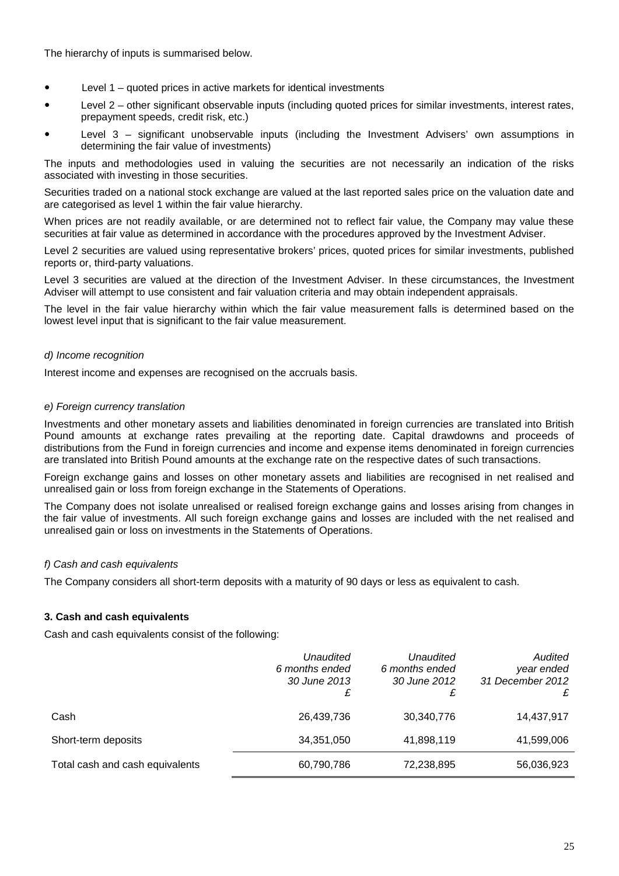The hierarchy of inputs is summarised below.

- Level 1 quoted prices in active markets for identical investments
- Level 2 other significant observable inputs (including quoted prices for similar investments, interest rates, prepayment speeds, credit risk, etc.)
- Level 3 significant unobservable inputs (including the Investment Advisers' own assumptions in determining the fair value of investments)

The inputs and methodologies used in valuing the securities are not necessarily an indication of the risks associated with investing in those securities.

Securities traded on a national stock exchange are valued at the last reported sales price on the valuation date and are categorised as level 1 within the fair value hierarchy.

When prices are not readily available, or are determined not to reflect fair value, the Company may value these securities at fair value as determined in accordance with the procedures approved by the Investment Adviser.

Level 2 securities are valued using representative brokers' prices, quoted prices for similar investments, published reports or, third-party valuations.

Level 3 securities are valued at the direction of the Investment Adviser. In these circumstances, the Investment Adviser will attempt to use consistent and fair valuation criteria and may obtain independent appraisals.

The level in the fair value hierarchy within which the fair value measurement falls is determined based on the lowest level input that is significant to the fair value measurement.

### *d) Income recognition*

Interest income and expenses are recognised on the accruals basis.

### *e) Foreign currency translation*

Investments and other monetary assets and liabilities denominated in foreign currencies are translated into British Pound amounts at exchange rates prevailing at the reporting date. Capital drawdowns and proceeds of distributions from the Fund in foreign currencies and income and expense items denominated in foreign currencies are translated into British Pound amounts at the exchange rate on the respective dates of such transactions.

Foreign exchange gains and losses on other monetary assets and liabilities are recognised in net realised and unrealised gain or loss from foreign exchange in the Statements of Operations.

The Company does not isolate unrealised or realised foreign exchange gains and losses arising from changes in the fair value of investments. All such foreign exchange gains and losses are included with the net realised and unrealised gain or loss on investments in the Statements of Operations.

### *f) Cash and cash equivalents*

The Company considers all short-term deposits with a maturity of 90 days or less as equivalent to cash.

# **3. Cash and cash equivalents**

Cash and cash equivalents consist of the following:

|                                 | Unaudited<br>6 months ended<br>30 June 2013<br>£ | Unaudited<br>6 months ended<br>30 June 2012<br>£ | Audited<br>year ended<br>31 December 2012<br>£ |
|---------------------------------|--------------------------------------------------|--------------------------------------------------|------------------------------------------------|
| Cash                            | 26,439,736                                       | 30,340,776                                       | 14,437,917                                     |
| Short-term deposits             | 34,351,050                                       | 41,898,119                                       | 41,599,006                                     |
| Total cash and cash equivalents | 60,790,786                                       | 72,238,895                                       | 56,036,923                                     |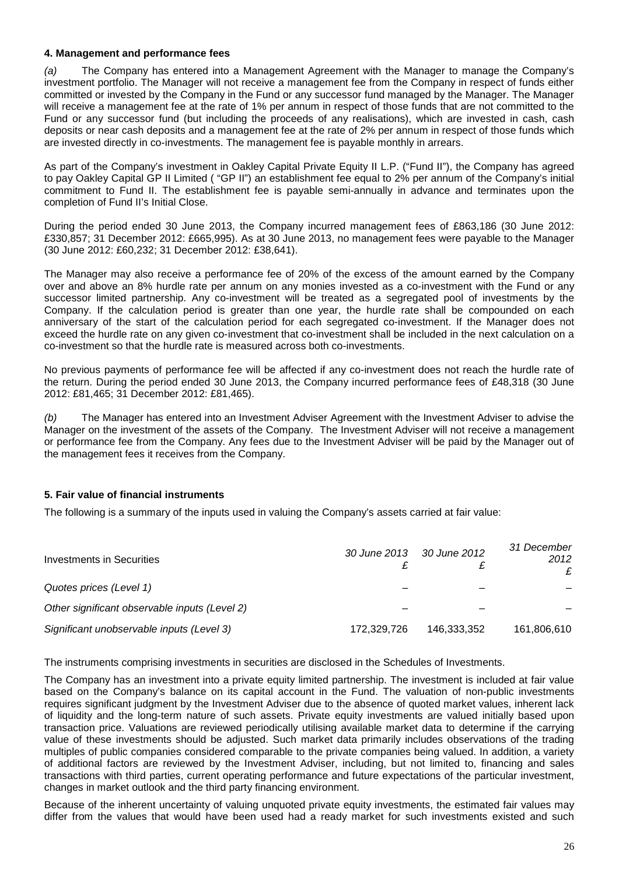### **4. Management and performance fees**

*(a)* The Company has entered into a Management Agreement with the Manager to manage the Company's investment portfolio. The Manager will not receive a management fee from the Company in respect of funds either committed or invested by the Company in the Fund or any successor fund managed by the Manager. The Manager will receive a management fee at the rate of 1% per annum in respect of those funds that are not committed to the Fund or any successor fund (but including the proceeds of any realisations), which are invested in cash, cash deposits or near cash deposits and a management fee at the rate of 2% per annum in respect of those funds which are invested directly in co-investments. The management fee is payable monthly in arrears.

As part of the Company's investment in Oakley Capital Private Equity II L.P. ("Fund II"), the Company has agreed to pay Oakley Capital GP II Limited ( "GP II") an establishment fee equal to 2% per annum of the Company's initial commitment to Fund II. The establishment fee is payable semi-annually in advance and terminates upon the completion of Fund II's Initial Close.

During the period ended 30 June 2013, the Company incurred management fees of £863,186 (30 June 2012: £330,857; 31 December 2012: £665,995). As at 30 June 2013, no management fees were payable to the Manager (30 June 2012: £60,232; 31 December 2012: £38,641).

The Manager may also receive a performance fee of 20% of the excess of the amount earned by the Company over and above an 8% hurdle rate per annum on any monies invested as a co-investment with the Fund or any successor limited partnership. Any co-investment will be treated as a segregated pool of investments by the Company. If the calculation period is greater than one year, the hurdle rate shall be compounded on each anniversary of the start of the calculation period for each segregated co-investment. If the Manager does not exceed the hurdle rate on any given co-investment that co-investment shall be included in the next calculation on a co-investment so that the hurdle rate is measured across both co-investments.

No previous payments of performance fee will be affected if any co-investment does not reach the hurdle rate of the return. During the period ended 30 June 2013, the Company incurred performance fees of £48,318 (30 June 2012: £81,465; 31 December 2012: £81,465).

*(b)* The Manager has entered into an Investment Adviser Agreement with the Investment Adviser to advise the Manager on the investment of the assets of the Company. The Investment Adviser will not receive a management or performance fee from the Company. Any fees due to the Investment Adviser will be paid by the Manager out of the management fees it receives from the Company.

# **5. Fair value of financial instruments**

The following is a summary of the inputs used in valuing the Company's assets carried at fair value:

| Investments in Securities                     | 30 June 2013 | 30 June 2012 | 31 December<br>2012<br>£ |
|-----------------------------------------------|--------------|--------------|--------------------------|
| Quotes prices (Level 1)                       |              |              |                          |
| Other significant observable inputs (Level 2) |              |              |                          |
| Significant unobservable inputs (Level 3)     | 172.329.726  | 146.333.352  | 161,806,610              |

The instruments comprising investments in securities are disclosed in the Schedules of Investments.

The Company has an investment into a private equity limited partnership. The investment is included at fair value based on the Company's balance on its capital account in the Fund. The valuation of non-public investments requires significant judgment by the Investment Adviser due to the absence of quoted market values, inherent lack of liquidity and the long-term nature of such assets. Private equity investments are valued initially based upon transaction price. Valuations are reviewed periodically utilising available market data to determine if the carrying value of these investments should be adjusted. Such market data primarily includes observations of the trading multiples of public companies considered comparable to the private companies being valued. In addition, a variety of additional factors are reviewed by the Investment Adviser, including, but not limited to, financing and sales transactions with third parties, current operating performance and future expectations of the particular investment, changes in market outlook and the third party financing environment.

Because of the inherent uncertainty of valuing unquoted private equity investments, the estimated fair values may differ from the values that would have been used had a ready market for such investments existed and such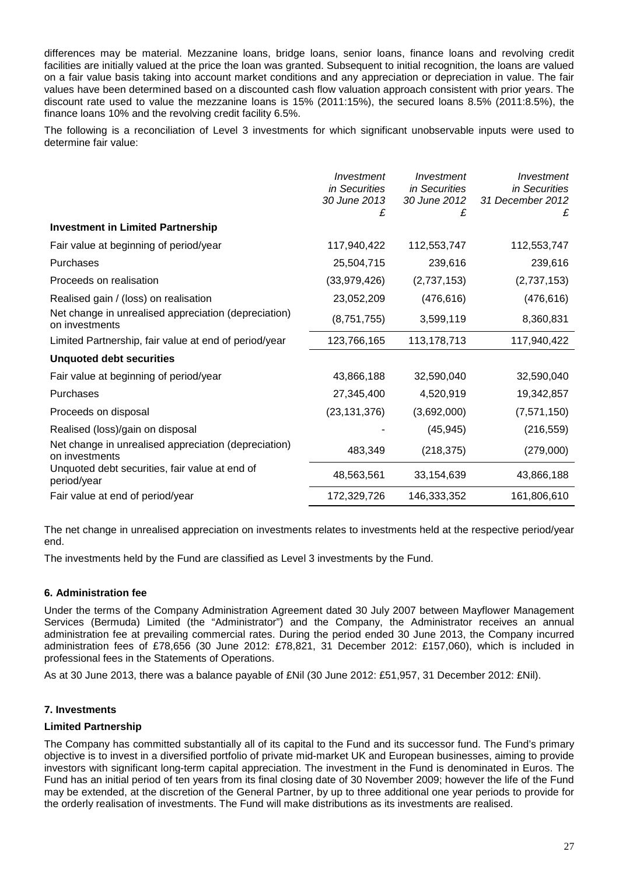differences may be material. Mezzanine loans, bridge loans, senior loans, finance loans and revolving credit facilities are initially valued at the price the loan was granted. Subsequent to initial recognition, the loans are valued on a fair value basis taking into account market conditions and any appreciation or depreciation in value. The fair values have been determined based on a discounted cash flow valuation approach consistent with prior years. The discount rate used to value the mezzanine loans is 15% (2011:15%), the secured loans 8.5% (2011:8.5%), the finance loans 10% and the revolving credit facility 6.5%.

The following is a reconciliation of Level 3 investments for which significant unobservable inputs were used to determine fair value:

|                                                                        | Investment<br>in Securities<br>30 June 2013<br>£ | Investment<br>in Securities<br>30 June 2012<br>£ | Investment<br>in Securities<br>31 December 2012<br>£ |
|------------------------------------------------------------------------|--------------------------------------------------|--------------------------------------------------|------------------------------------------------------|
| <b>Investment in Limited Partnership</b>                               |                                                  |                                                  |                                                      |
| Fair value at beginning of period/year                                 | 117,940,422                                      | 112,553,747                                      | 112,553,747                                          |
| Purchases                                                              | 25,504,715                                       | 239,616                                          | 239,616                                              |
| Proceeds on realisation                                                | (33, 979, 426)                                   | (2,737,153)                                      | (2,737,153)                                          |
| Realised gain / (loss) on realisation                                  | 23,052,209                                       | (476, 616)                                       | (476, 616)                                           |
| Net change in unrealised appreciation (depreciation)<br>on investments | (8,751,755)                                      | 3,599,119                                        | 8,360,831                                            |
| Limited Partnership, fair value at end of period/year                  | 123,766,165                                      | 113, 178, 713                                    | 117,940,422                                          |
| <b>Unquoted debt securities</b>                                        |                                                  |                                                  |                                                      |
| Fair value at beginning of period/year                                 | 43,866,188                                       | 32,590,040                                       | 32,590,040                                           |
| Purchases                                                              | 27,345,400                                       | 4,520,919                                        | 19,342,857                                           |
| Proceeds on disposal                                                   | (23, 131, 376)                                   | (3,692,000)                                      | (7, 571, 150)                                        |
| Realised (loss)/gain on disposal                                       |                                                  | (45, 945)                                        | (216, 559)                                           |
| Net change in unrealised appreciation (depreciation)<br>on investments | 483,349                                          | (218, 375)                                       | (279,000)                                            |
| Unquoted debt securities, fair value at end of<br>period/year          | 48,563,561                                       | 33,154,639                                       | 43,866,188                                           |
| Fair value at end of period/year                                       | 172,329,726                                      | 146,333,352                                      | 161,806,610                                          |

The net change in unrealised appreciation on investments relates to investments held at the respective period/year end.

The investments held by the Fund are classified as Level 3 investments by the Fund.

# **6. Administration fee**

Under the terms of the Company Administration Agreement dated 30 July 2007 between Mayflower Management Services (Bermuda) Limited (the "Administrator") and the Company, the Administrator receives an annual administration fee at prevailing commercial rates. During the period ended 30 June 2013, the Company incurred administration fees of £78,656 (30 June 2012: £78,821, 31 December 2012: £157,060), which is included in professional fees in the Statements of Operations.

As at 30 June 2013, there was a balance payable of £Nil (30 June 2012: £51,957, 31 December 2012: £Nil).

# **7. Investments**

### **Limited Partnership**

The Company has committed substantially all of its capital to the Fund and its successor fund. The Fund's primary objective is to invest in a diversified portfolio of private mid-market UK and European businesses, aiming to provide investors with significant long-term capital appreciation. The investment in the Fund is denominated in Euros. The Fund has an initial period of ten years from its final closing date of 30 November 2009; however the life of the Fund may be extended, at the discretion of the General Partner, by up to three additional one year periods to provide for the orderly realisation of investments. The Fund will make distributions as its investments are realised.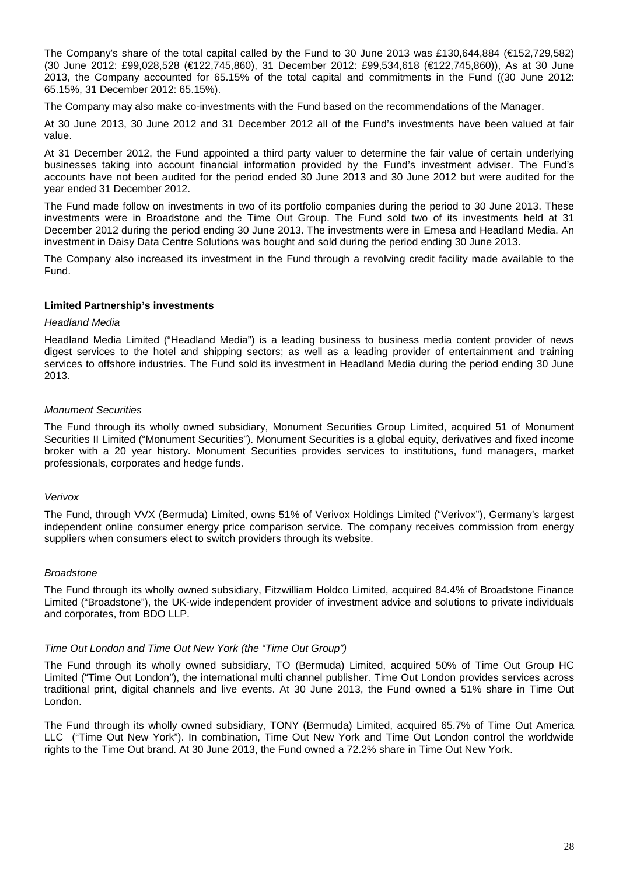The Company's share of the total capital called by the Fund to 30 June 2013 was £130,644,884 (€152,729,582) (30 June 2012: £99,028,528 (€122,745,860), 31 December 2012: £99,534,618 (€122,745,860)), As at 30 June 2013, the Company accounted for 65.15% of the total capital and commitments in the Fund ((30 June 2012: 65.15%, 31 December 2012: 65.15%).

The Company may also make co-investments with the Fund based on the recommendations of the Manager.

At 30 June 2013, 30 June 2012 and 31 December 2012 all of the Fund's investments have been valued at fair value.

At 31 December 2012, the Fund appointed a third party valuer to determine the fair value of certain underlying businesses taking into account financial information provided by the Fund's investment adviser. The Fund's accounts have not been audited for the period ended 30 June 2013 and 30 June 2012 but were audited for the year ended 31 December 2012.

The Fund made follow on investments in two of its portfolio companies during the period to 30 June 2013. These investments were in Broadstone and the Time Out Group. The Fund sold two of its investments held at 31 December 2012 during the period ending 30 June 2013. The investments were in Emesa and Headland Media. An investment in Daisy Data Centre Solutions was bought and sold during the period ending 30 June 2013.

The Company also increased its investment in the Fund through a revolving credit facility made available to the Fund.

### **Limited Partnership's investments**

#### *Headland Media*

Headland Media Limited ("Headland Media") is a leading business to business media content provider of news digest services to the hotel and shipping sectors; as well as a leading provider of entertainment and training services to offshore industries. The Fund sold its investment in Headland Media during the period ending 30 June 2013.

### *Monument Securities*

The Fund through its wholly owned subsidiary, Monument Securities Group Limited, acquired 51 of Monument Securities II Limited ("Monument Securities"). Monument Securities is a global equity, derivatives and fixed income broker with a 20 year history. Monument Securities provides services to institutions, fund managers, market professionals, corporates and hedge funds.

### *Verivox*

The Fund, through VVX (Bermuda) Limited, owns 51% of Verivox Holdings Limited ("Verivox"), Germany's largest independent online consumer energy price comparison service. The company receives commission from energy suppliers when consumers elect to switch providers through its website.

### *Broadstone*

The Fund through its wholly owned subsidiary, Fitzwilliam Holdco Limited, acquired 84.4% of Broadstone Finance Limited ("Broadstone"), the UK-wide independent provider of investment advice and solutions to private individuals and corporates, from BDO LLP.

### *Time Out London and Time Out New York (the "Time Out Group")*

The Fund through its wholly owned subsidiary, TO (Bermuda) Limited, acquired 50% of Time Out Group HC Limited ("Time Out London"), the international multi channel publisher. Time Out London provides services across traditional print, digital channels and live events. At 30 June 2013, the Fund owned a 51% share in Time Out London.

The Fund through its wholly owned subsidiary, TONY (Bermuda) Limited, acquired 65.7% of Time Out America LLC ("Time Out New York"). In combination, Time Out New York and Time Out London control the worldwide rights to the Time Out brand. At 30 June 2013, the Fund owned a 72.2% share in Time Out New York.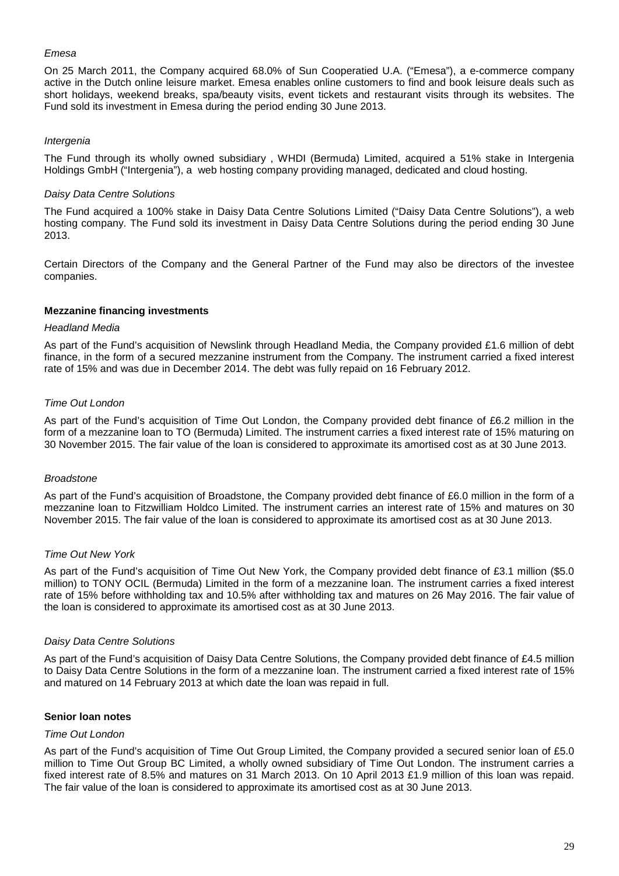### *Emesa*

On 25 March 2011, the Company acquired 68.0% of Sun Cooperatied U.A. ("Emesa"), a e-commerce company active in the Dutch online leisure market. Emesa enables online customers to find and book leisure deals such as short holidays, weekend breaks, spa/beauty visits, event tickets and restaurant visits through its websites. The Fund sold its investment in Emesa during the period ending 30 June 2013.

### *Intergenia*

The Fund through its wholly owned subsidiary , WHDI (Bermuda) Limited, acquired a 51% stake in Intergenia Holdings GmbH ("Intergenia"), a web hosting company providing managed, dedicated and cloud hosting.

### *Daisy Data Centre Solutions*

The Fund acquired a 100% stake in Daisy Data Centre Solutions Limited ("Daisy Data Centre Solutions"), a web hosting company. The Fund sold its investment in Daisy Data Centre Solutions during the period ending 30 June 2013.

Certain Directors of the Company and the General Partner of the Fund may also be directors of the investee companies.

### **Mezzanine financing investments**

### *Headland Media*

As part of the Fund's acquisition of Newslink through Headland Media, the Company provided £1.6 million of debt finance, in the form of a secured mezzanine instrument from the Company. The instrument carried a fixed interest rate of 15% and was due in December 2014. The debt was fully repaid on 16 February 2012.

### *Time Out London*

As part of the Fund's acquisition of Time Out London, the Company provided debt finance of £6.2 million in the form of a mezzanine loan to TO (Bermuda) Limited. The instrument carries a fixed interest rate of 15% maturing on 30 November 2015. The fair value of the loan is considered to approximate its amortised cost as at 30 June 2013.

### *Broadstone*

As part of the Fund's acquisition of Broadstone, the Company provided debt finance of £6.0 million in the form of a mezzanine loan to Fitzwilliam Holdco Limited. The instrument carries an interest rate of 15% and matures on 30 November 2015. The fair value of the loan is considered to approximate its amortised cost as at 30 June 2013.

### *Time Out New York*

As part of the Fund's acquisition of Time Out New York, the Company provided debt finance of £3.1 million (\$5.0 million) to TONY OCIL (Bermuda) Limited in the form of a mezzanine loan. The instrument carries a fixed interest rate of 15% before withholding tax and 10.5% after withholding tax and matures on 26 May 2016. The fair value of the loan is considered to approximate its amortised cost as at 30 June 2013.

### *Daisy Data Centre Solutions*

As part of the Fund's acquisition of Daisy Data Centre Solutions, the Company provided debt finance of £4.5 million to Daisy Data Centre Solutions in the form of a mezzanine loan. The instrument carried a fixed interest rate of 15% and matured on 14 February 2013 at which date the loan was repaid in full.

### **Senior loan notes**

### *Time Out London*

As part of the Fund's acquisition of Time Out Group Limited, the Company provided a secured senior loan of £5.0 million to Time Out Group BC Limited, a wholly owned subsidiary of Time Out London. The instrument carries a fixed interest rate of 8.5% and matures on 31 March 2013. On 10 April 2013 £1.9 million of this loan was repaid. The fair value of the loan is considered to approximate its amortised cost as at 30 June 2013.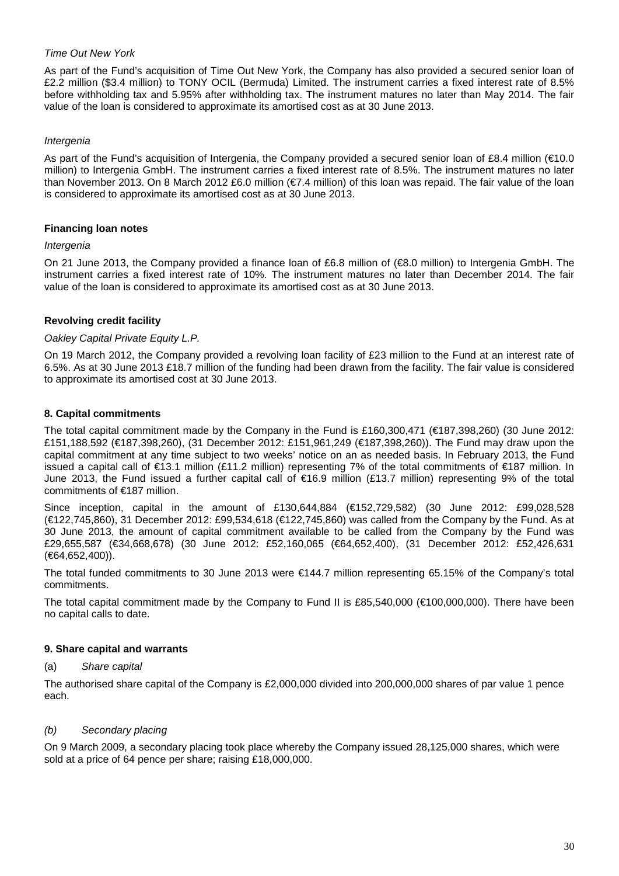### *Time Out New York*

As part of the Fund's acquisition of Time Out New York, the Company has also provided a secured senior loan of £2.2 million (\$3.4 million) to TONY OCIL (Bermuda) Limited. The instrument carries a fixed interest rate of 8.5% before withholding tax and 5.95% after withholding tax. The instrument matures no later than May 2014. The fair value of the loan is considered to approximate its amortised cost as at 30 June 2013.

### *Intergenia*

As part of the Fund's acquisition of Intergenia, the Company provided a secured senior loan of £8.4 million (€10.0 million) to Intergenia GmbH. The instrument carries a fixed interest rate of 8.5%. The instrument matures no later than November 2013. On 8 March 2012 £6.0 million (€7.4 million) of this loan was repaid. The fair value of the loan is considered to approximate its amortised cost as at 30 June 2013.

### **Financing loan notes**

### *Intergenia*

On 21 June 2013, the Company provided a finance loan of £6.8 million of (€8.0 million) to Intergenia GmbH. The instrument carries a fixed interest rate of 10%. The instrument matures no later than December 2014. The fair value of the loan is considered to approximate its amortised cost as at 30 June 2013.

### **Revolving credit facility**

### *Oakley Capital Private Equity L.P.*

On 19 March 2012, the Company provided a revolving loan facility of £23 million to the Fund at an interest rate of 6.5%. As at 30 June 2013 £18.7 million of the funding had been drawn from the facility. The fair value is considered to approximate its amortised cost at 30 June 2013.

### **8. Capital commitments**

The total capital commitment made by the Company in the Fund is £160,300,471 (€187,398,260) (30 June 2012: £151,188,592 (€187,398,260), (31 December 2012: £151,961,249 (€187,398,260)). The Fund may draw upon the capital commitment at any time subject to two weeks' notice on an as needed basis. In February 2013, the Fund issued a capital call of €13.1 million (£11.2 million) representing 7% of the total commitments of €187 million. In June 2013, the Fund issued a further capital call of €16.9 million (£13.7 million) representing 9% of the total commitments of €187 million.

Since inception, capital in the amount of £130,644,884 (€152,729,582) (30 June 2012: £99,028,528 (€122,745,860), 31 December 2012: £99,534,618 (€122,745,860) was called from the Company by the Fund. As at 30 June 2013, the amount of capital commitment available to be called from the Company by the Fund was £29,655,587 (€34,668,678) (30 June 2012: £52,160,065 (€64,652,400), (31 December 2012: £52,426,631 (€64,652,400)).

The total funded commitments to 30 June 2013 were €144.7 million representing 65.15% of the Company's total commitments.

The total capital commitment made by the Company to Fund II is £85,540,000 (€100,000,000). There have been no capital calls to date.

### **9. Share capital and warrants**

### (a) *Share capital*

The authorised share capital of the Company is £2,000,000 divided into 200,000,000 shares of par value 1 pence each.

# *(b) Secondary placing*

On 9 March 2009, a secondary placing took place whereby the Company issued 28,125,000 shares, which were sold at a price of 64 pence per share; raising £18,000,000.